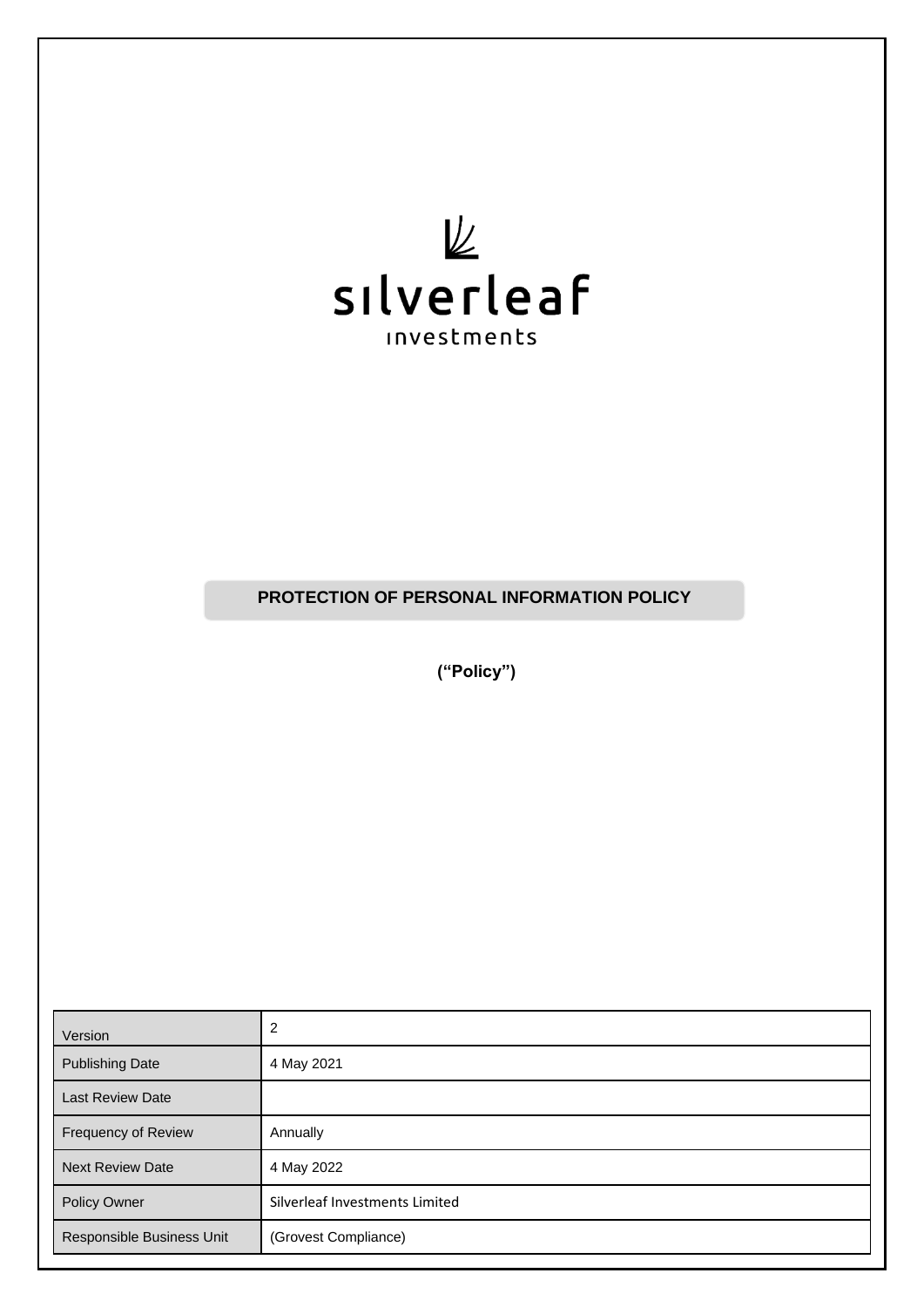

**PROTECTION OF PERSONAL INFORMATION POLICY**

**("Policy")**

| Version                   | 2                              |
|---------------------------|--------------------------------|
| <b>Publishing Date</b>    | 4 May 2021                     |
| <b>Last Review Date</b>   |                                |
| Frequency of Review       | Annually                       |
| <b>Next Review Date</b>   | 4 May 2022                     |
| Policy Owner              | Silverleaf Investments Limited |
| Responsible Business Unit | (Grovest Compliance)           |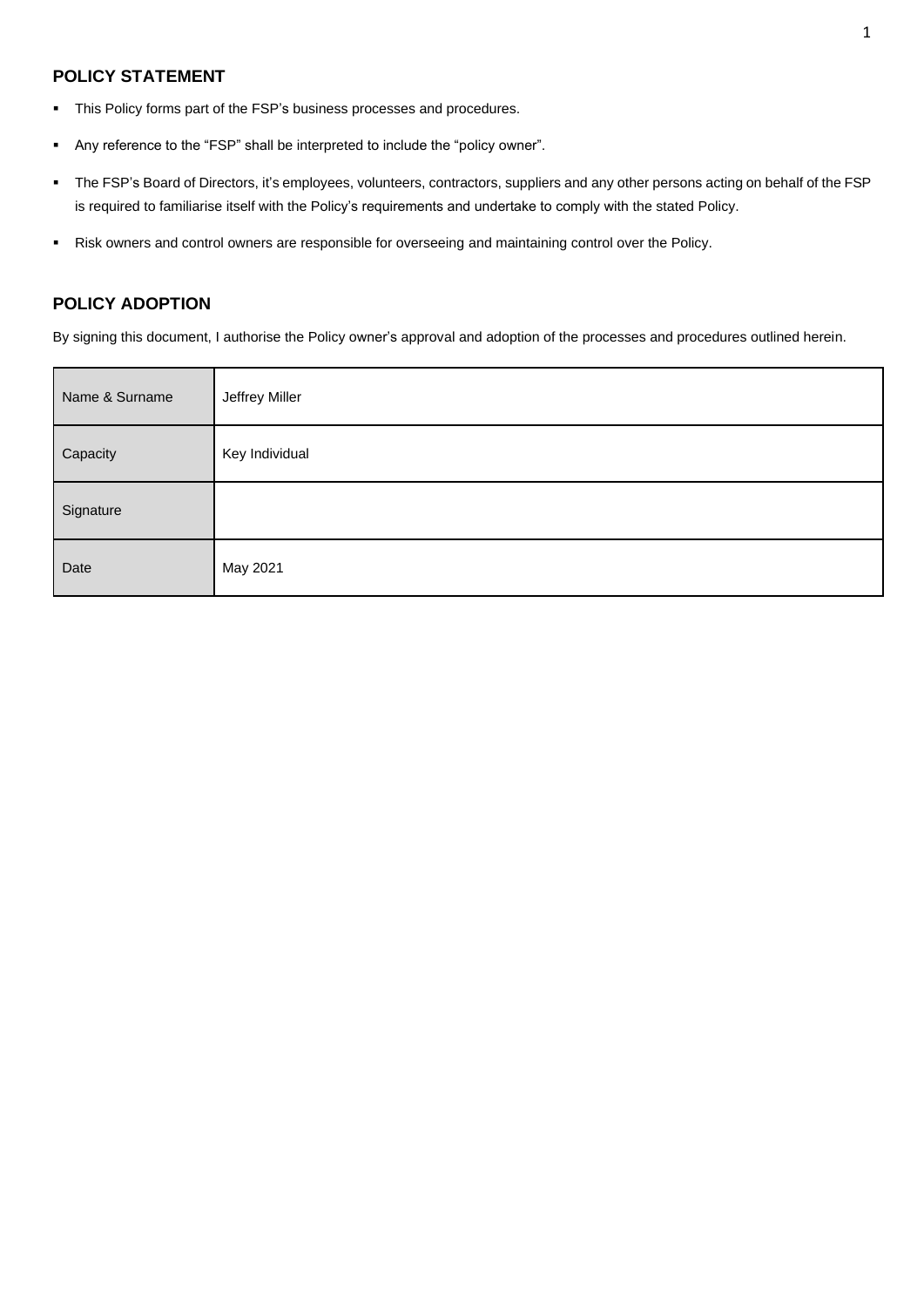## **POLICY STATEMENT**

- This Policy forms part of the FSP's business processes and procedures.
- Any reference to the "FSP" shall be interpreted to include the "policy owner".
- The FSP's Board of Directors, it's employees, volunteers, contractors, suppliers and any other persons acting on behalf of the FSP is required to familiarise itself with the Policy's requirements and undertake to comply with the stated Policy.
- Risk owners and control owners are responsible for overseeing and maintaining control over the Policy.

## **POLICY ADOPTION**

By signing this document, I authorise the Policy owner's approval and adoption of the processes and procedures outlined herein.

| Name & Surname | Jeffrey Miller |
|----------------|----------------|
| Capacity       | Key Individual |
| Signature      |                |
| Date           | May 2021       |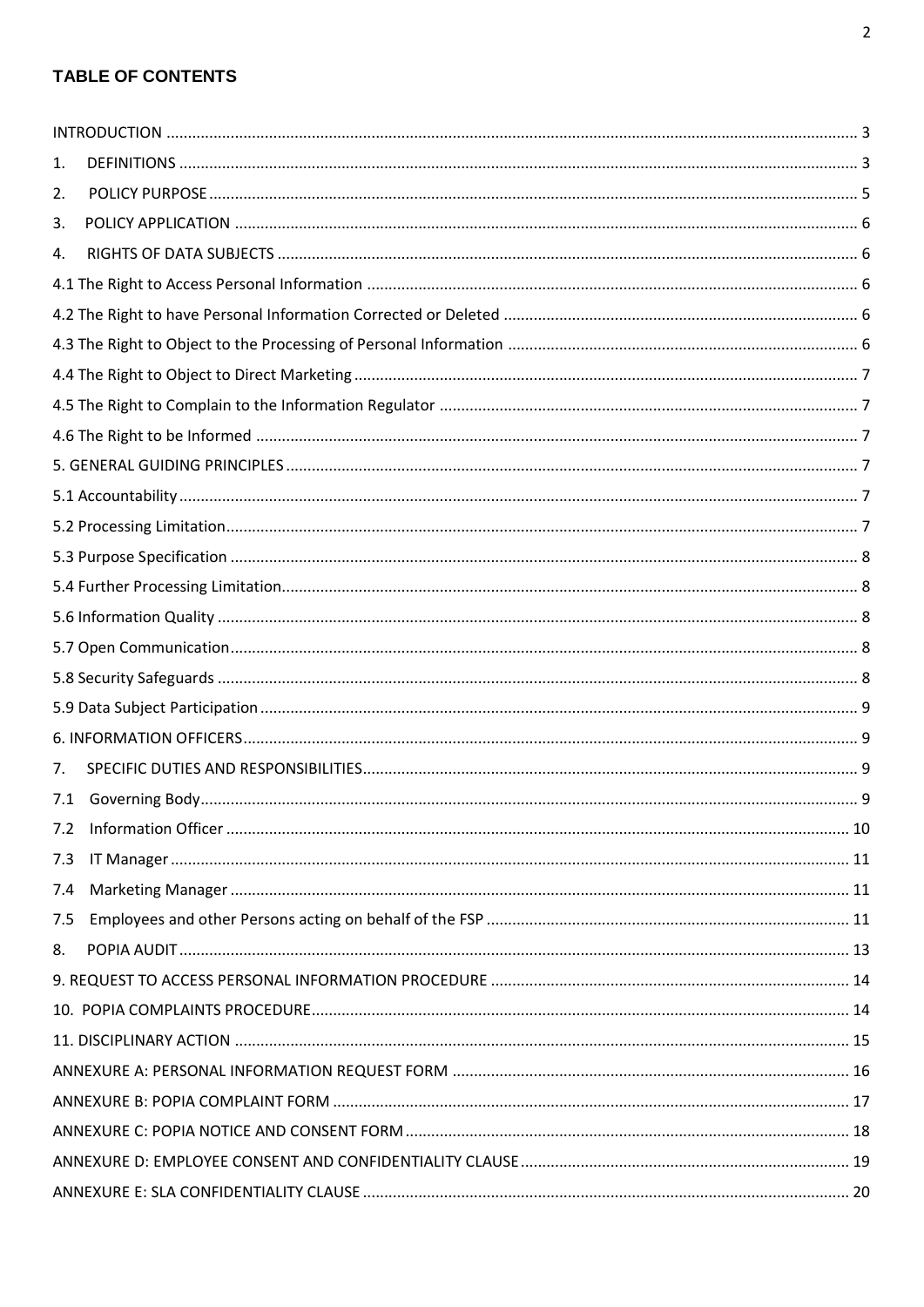# **TABLE OF CONTENTS**

| 1.  |  |
|-----|--|
| 2.  |  |
| 3.  |  |
| 4.  |  |
|     |  |
|     |  |
|     |  |
|     |  |
|     |  |
|     |  |
|     |  |
|     |  |
|     |  |
|     |  |
|     |  |
|     |  |
|     |  |
|     |  |
|     |  |
|     |  |
| 7.  |  |
| 7.1 |  |
| 7.2 |  |
| 7.3 |  |
| 7.4 |  |
| 7.5 |  |
| 8.  |  |
|     |  |
|     |  |
|     |  |
|     |  |
|     |  |
|     |  |
|     |  |
|     |  |
|     |  |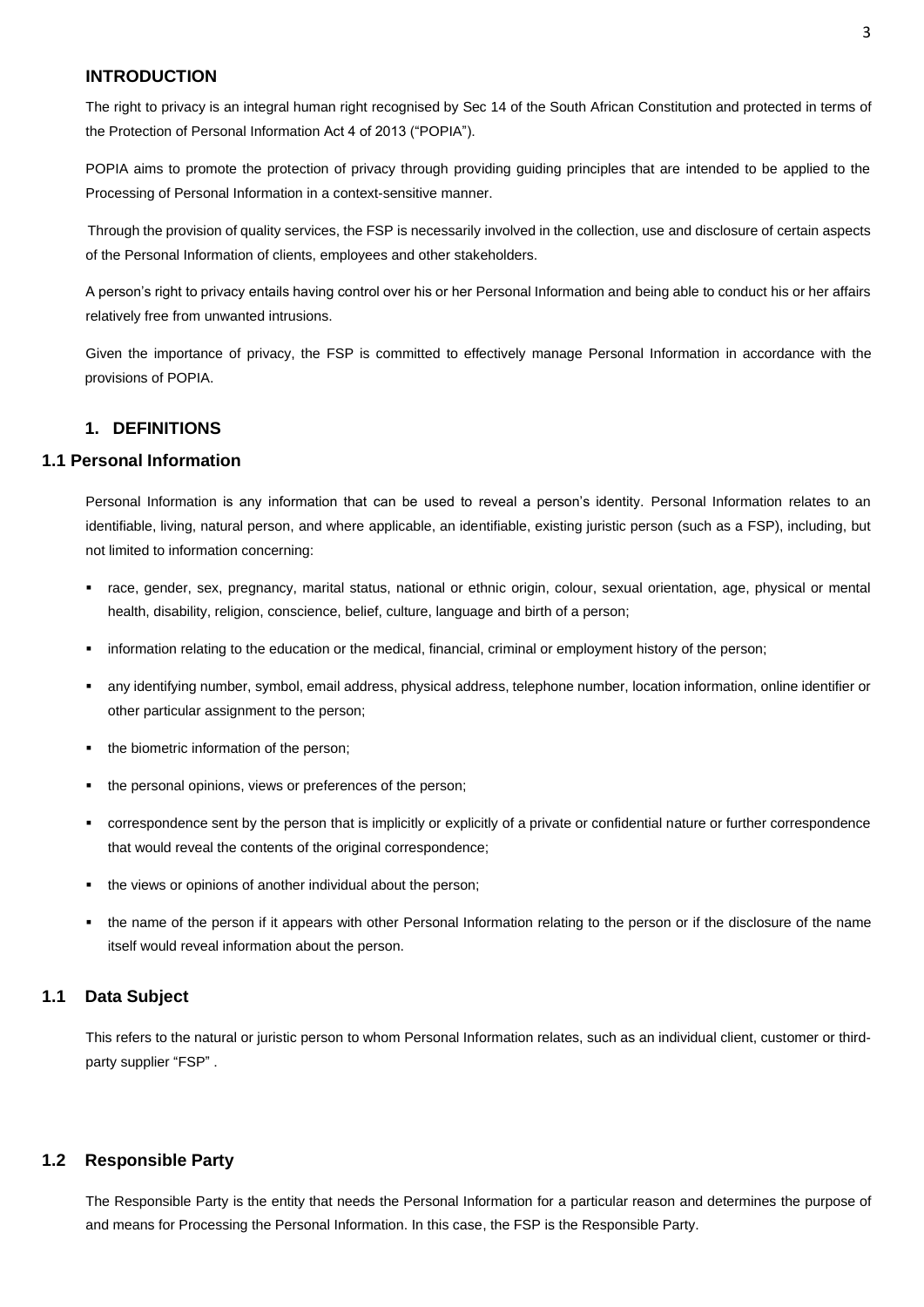## <span id="page-3-0"></span> **INTRODUCTION**

The right to privacy is an integral human right recognised by Sec 14 of the South African Constitution and protected in terms of the Protection of Personal Information Act 4 of 2013 ("POPIA").

POPIA aims to promote the protection of privacy through providing guiding principles that are intended to be applied to the Processing of Personal Information in a context-sensitive manner.

Through the provision of quality services, the FSP is necessarily involved in the collection, use and disclosure of certain aspects of the Personal Information of clients, employees and other stakeholders.

A person's right to privacy entails having control over his or her Personal Information and being able to conduct his or her affairs relatively free from unwanted intrusions.

Given the importance of privacy, the FSP is committed to effectively manage Personal Information in accordance with the provisions of POPIA.

### **1. DEFINITIONS**

#### <span id="page-3-1"></span>**1.1 Personal Information**

Personal Information is any information that can be used to reveal a person's identity. Personal Information relates to an identifiable, living, natural person, and where applicable, an identifiable, existing juristic person (such as a FSP), including, but not limited to information concerning:

- race, gender, sex, pregnancy, marital status, national or ethnic origin, colour, sexual orientation, age, physical or mental health, disability, religion, conscience, belief, culture, language and birth of a person;
- information relating to the education or the medical, financial, criminal or employment history of the person;
- any identifying number, symbol, email address, physical address, telephone number, location information, online identifier or other particular assignment to the person;
- the biometric information of the person;
- the personal opinions, views or preferences of the person:
- correspondence sent by the person that is implicitly or explicitly of a private or confidential nature or further correspondence that would reveal the contents of the original correspondence;
- the views or opinions of another individual about the person:
- the name of the person if it appears with other Personal Information relating to the person or if the disclosure of the name itself would reveal information about the person.

## **1.1 Data Subject**

This refers to the natural or juristic person to whom Personal Information relates, such as an individual client, customer or thirdparty supplier "FSP" .

#### **1.2 Responsible Party**

The Responsible Party is the entity that needs the Personal Information for a particular reason and determines the purpose of and means for Processing the Personal Information. In this case, the FSP is the Responsible Party.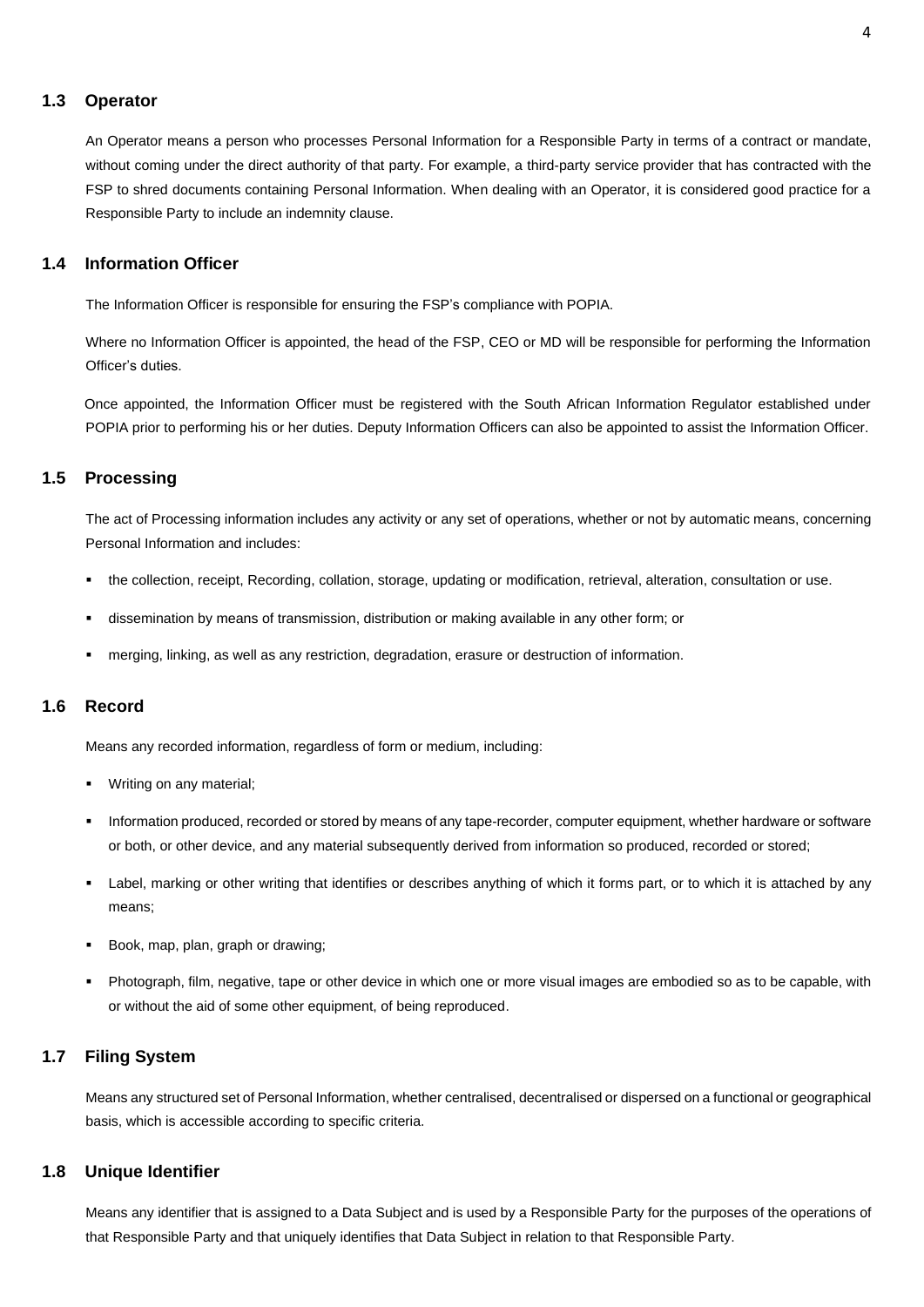#### **1.3 Operator**

An Operator means a person who processes Personal Information for a Responsible Party in terms of a contract or mandate, without coming under the direct authority of that party. For example, a third-party service provider that has contracted with the FSP to shred documents containing Personal Information. When dealing with an Operator, it is considered good practice for a Responsible Party to include an indemnity clause.

## **1.4 Information Officer**

The Information Officer is responsible for ensuring the FSP's compliance with POPIA.

Where no Information Officer is appointed, the head of the FSP, CEO or MD will be responsible for performing the Information Officer's duties.

Once appointed, the Information Officer must be registered with the South African Information Regulator established under POPIA prior to performing his or her duties. Deputy Information Officers can also be appointed to assist the Information Officer.

## **1.5 Processing**

The act of Processing information includes any activity or any set of operations, whether or not by automatic means, concerning Personal Information and includes:

- the collection, receipt, Recording, collation, storage, updating or modification, retrieval, alteration, consultation or use.
- dissemination by means of transmission, distribution or making available in any other form; or
- merging, linking, as well as any restriction, degradation, erasure or destruction of information.

## **1.6 Record**

Means any recorded information, regardless of form or medium, including:

- Writing on any material;
- Information produced, recorded or stored by means of any tape-recorder, computer equipment, whether hardware or software or both, or other device, and any material subsequently derived from information so produced, recorded or stored;
- Label, marking or other writing that identifies or describes anything of which it forms part, or to which it is attached by any means;
- Book, map, plan, graph or drawing;
- Photograph, film, negative, tape or other device in which one or more visual images are embodied so as to be capable, with or without the aid of some other equipment, of being reproduced.

### **1.7 Filing System**

Means any structured set of Personal Information, whether centralised, decentralised or dispersed on a functional or geographical basis, which is accessible according to specific criteria.

#### **1.8 Unique Identifier**

Means any identifier that is assigned to a Data Subject and is used by a Responsible Party for the purposes of the operations of that Responsible Party and that uniquely identifies that Data Subject in relation to that Responsible Party.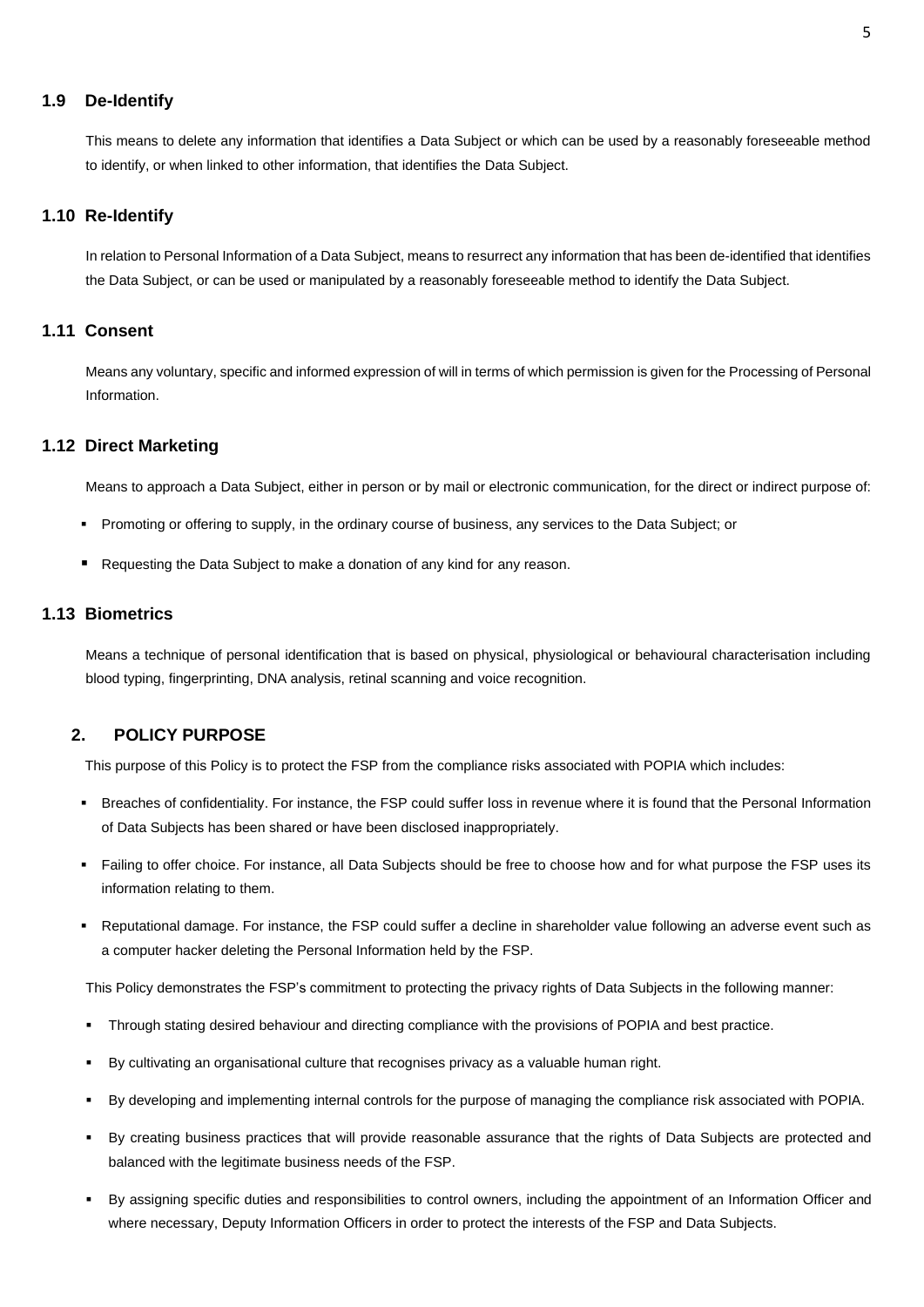#### **1.9 De-Identify**

This means to delete any information that identifies a Data Subject or which can be used by a reasonably foreseeable method to identify, or when linked to other information, that identifies the Data Subject.

### **1.10 Re-Identify**

In relation to Personal Information of a Data Subject, means to resurrect any information that has been de-identified that identifies the Data Subject, or can be used or manipulated by a reasonably foreseeable method to identify the Data Subject.

## **1.11 Consent**

Means any voluntary, specific and informed expression of will in terms of which permission is given for the Processing of Personal Information.

#### **1.12 Direct Marketing**

Means to approach a Data Subject, either in person or by mail or electronic communication, for the direct or indirect purpose of:

- Promoting or offering to supply, in the ordinary course of business, any services to the Data Subject; or
- Requesting the Data Subject to make a donation of any kind for any reason.

## **1.13 Biometrics**

Means a technique of personal identification that is based on physical, physiological or behavioural characterisation including blood typing, fingerprinting, DNA analysis, retinal scanning and voice recognition.

## <span id="page-5-0"></span> **2. POLICY PURPOSE**

This purpose of this Policy is to protect the FSP from the compliance risks associated with POPIA which includes:

- Breaches of confidentiality. For instance, the FSP could suffer loss in revenue where it is found that the Personal Information of Data Subjects has been shared or have been disclosed inappropriately.
- Failing to offer choice. For instance, all Data Subjects should be free to choose how and for what purpose the FSP uses its information relating to them.
- Reputational damage. For instance, the FSP could suffer a decline in shareholder value following an adverse event such as a computer hacker deleting the Personal Information held by the FSP.

This Policy demonstrates the FSP's commitment to protecting the privacy rights of Data Subjects in the following manner:

- Through stating desired behaviour and directing compliance with the provisions of POPIA and best practice.
- By cultivating an organisational culture that recognises privacy as a valuable human right.
- By developing and implementing internal controls for the purpose of managing the compliance risk associated with POPIA.
- By creating business practices that will provide reasonable assurance that the rights of Data Subjects are protected and balanced with the legitimate business needs of the FSP.
- By assigning specific duties and responsibilities to control owners, including the appointment of an Information Officer and where necessary, Deputy Information Officers in order to protect the interests of the FSP and Data Subjects.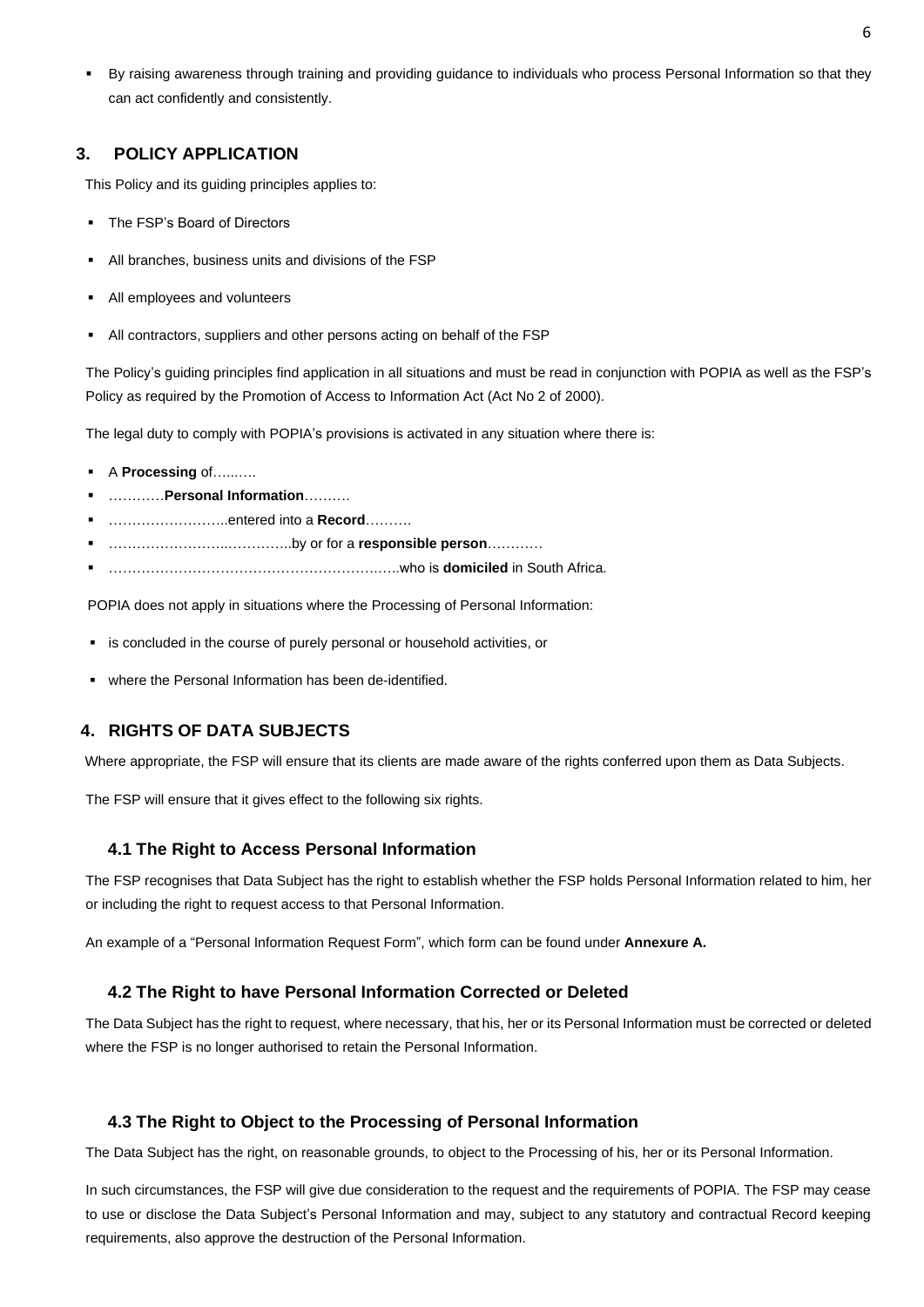By raising awareness through training and providing guidance to individuals who process Personal Information so that they can act confidently and consistently.

## <span id="page-6-0"></span> **3. POLICY APPLICATION**

This Policy and its guiding principles applies to:

- The FSP's Board of Directors
- All branches, business units and divisions of the FSP
- All employees and volunteers
- All contractors, suppliers and other persons acting on behalf of the FSP

The Policy's guiding principles find application in all situations and must be read in conjunction with POPIA as well as the FSP's Policy as required by the Promotion of Access to Information Act (Act No 2 of 2000).

The legal duty to comply with POPIA's provisions is activated in any situation where there is:

- A **Processing** of….......
- …………**Personal Information**……….
- ……………………..entered into a **Record**……….
- ……………………..…………..by or for a **responsible person**…………
- ………………………………………………….…..who is **domiciled** in South Africa.

POPIA does not apply in situations where the Processing of Personal Information:

- is concluded in the course of purely personal or household activities, or
- where the Personal Information has been de-identified.

## <span id="page-6-1"></span>**4. RIGHTS OF DATA SUBJECTS**

Where appropriate, the FSP will ensure that its clients are made aware of the rights conferred upon them as Data Subjects.

The FSP will ensure that it gives effect to the following six rights.

#### <span id="page-6-2"></span>**4.1 The Right to Access Personal Information**

The FSP recognises that Data Subject has the right to establish whether the FSP holds Personal Information related to him, her or including the right to request access to that Personal Information.

An example of a "Personal Information Request Form", which form can be found under **Annexure A.**

#### <span id="page-6-3"></span>**4.2 The Right to have Personal Information Corrected or Deleted**

The Data Subject has the right to request, where necessary, that his, her or its Personal Information must be corrected or deleted where the FSP is no longer authorised to retain the Personal Information.

#### <span id="page-6-4"></span>**4.3 The Right to Object to the Processing of Personal Information**

The Data Subject has the right, on reasonable grounds, to object to the Processing of his, her or its Personal Information.

In such circumstances, the FSP will give due consideration to the request and the requirements of POPIA. The FSP may cease to use or disclose the Data Subject's Personal Information and may, subject to any statutory and contractual Record keeping requirements, also approve the destruction of the Personal Information.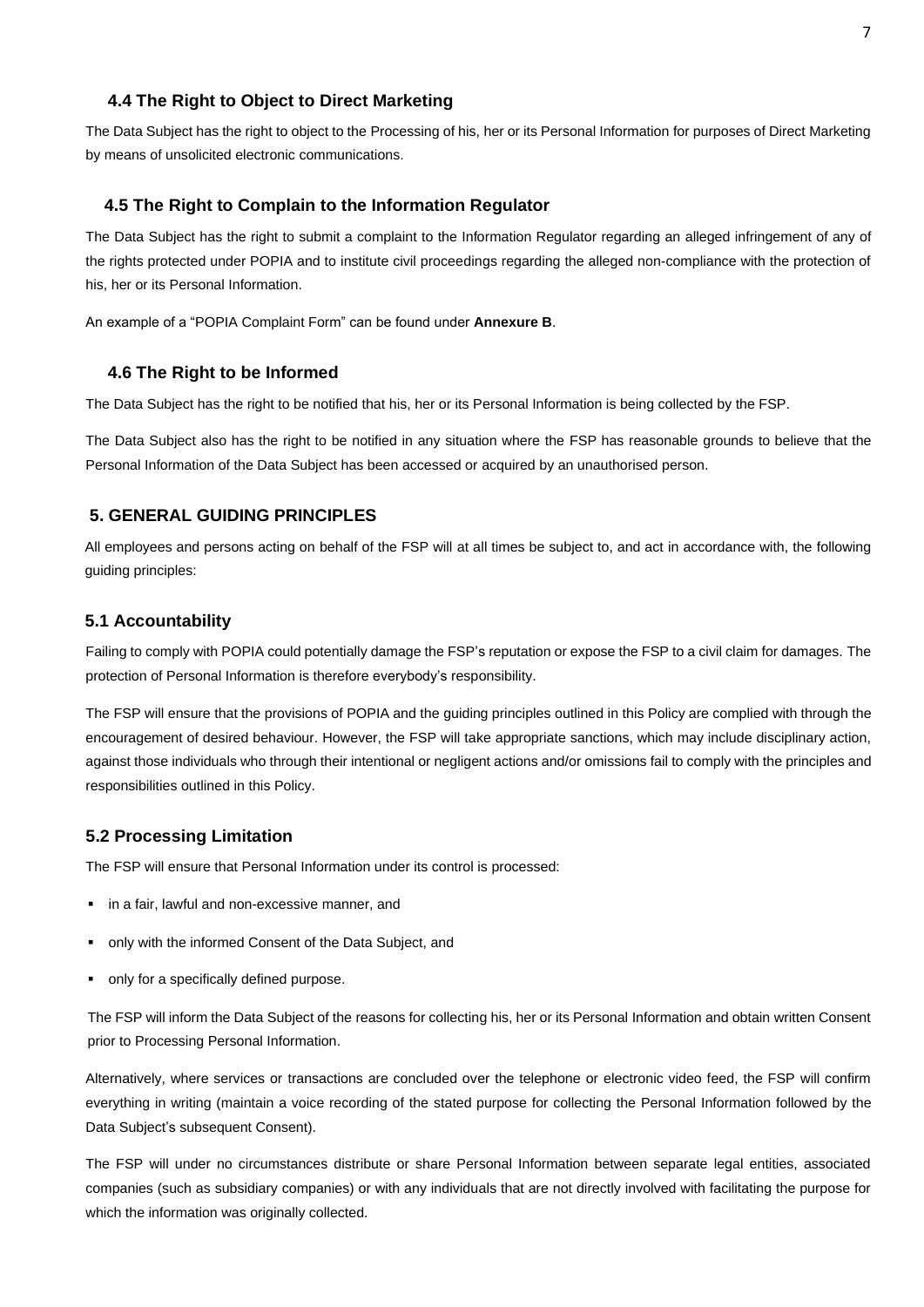### <span id="page-7-0"></span>**4.4 The Right to Object to Direct Marketing**

The Data Subject has the right to object to the Processing of his, her or its Personal Information for purposes of Direct Marketing by means of unsolicited electronic communications.

#### <span id="page-7-1"></span> **4.5 The Right to Complain to the Information Regulator**

The Data Subject has the right to submit a complaint to the Information Regulator regarding an alleged infringement of any of the rights protected under POPIA and to institute civil proceedings regarding the alleged non-compliance with the protection of his, her or its Personal Information.

An example of a "POPIA Complaint Form" can be found under **Annexure B**.

### <span id="page-7-2"></span>**4.6 The Right to be Informed**

The Data Subject has the right to be notified that his, her or its Personal Information is being collected by the FSP.

The Data Subject also has the right to be notified in any situation where the FSP has reasonable grounds to believe that the Personal Information of the Data Subject has been accessed or acquired by an unauthorised person.

## <span id="page-7-3"></span>**5. GENERAL GUIDING PRINCIPLES**

All employees and persons acting on behalf of the FSP will at all times be subject to, and act in accordance with, the following guiding principles:

#### <span id="page-7-4"></span>**5.1 Accountability**

Failing to comply with POPIA could potentially damage the FSP's reputation or expose the FSP to a civil claim for damages. The protection of Personal Information is therefore everybody's responsibility.

The FSP will ensure that the provisions of POPIA and the guiding principles outlined in this Policy are complied with through the encouragement of desired behaviour. However, the FSP will take appropriate sanctions, which may include disciplinary action, against those individuals who through their intentional or negligent actions and/or omissions fail to comply with the principles and responsibilities outlined in this Policy.

#### <span id="page-7-5"></span>**5.2 Processing Limitation**

The FSP will ensure that Personal Information under its control is processed:

- in a fair, lawful and non-excessive manner, and
- only with the informed Consent of the Data Subject, and
- only for a specifically defined purpose.

The FSP will inform the Data Subject of the reasons for collecting his, her or its Personal Information and obtain written Consent prior to Processing Personal Information.

Alternatively, where services or transactions are concluded over the telephone or electronic video feed, the FSP will confirm everything in writing (maintain a voice recording of the stated purpose for collecting the Personal Information followed by the Data Subject's subsequent Consent).

The FSP will under no circumstances distribute or share Personal Information between separate legal entities, associated companies (such as subsidiary companies) or with any individuals that are not directly involved with facilitating the purpose for which the information was originally collected.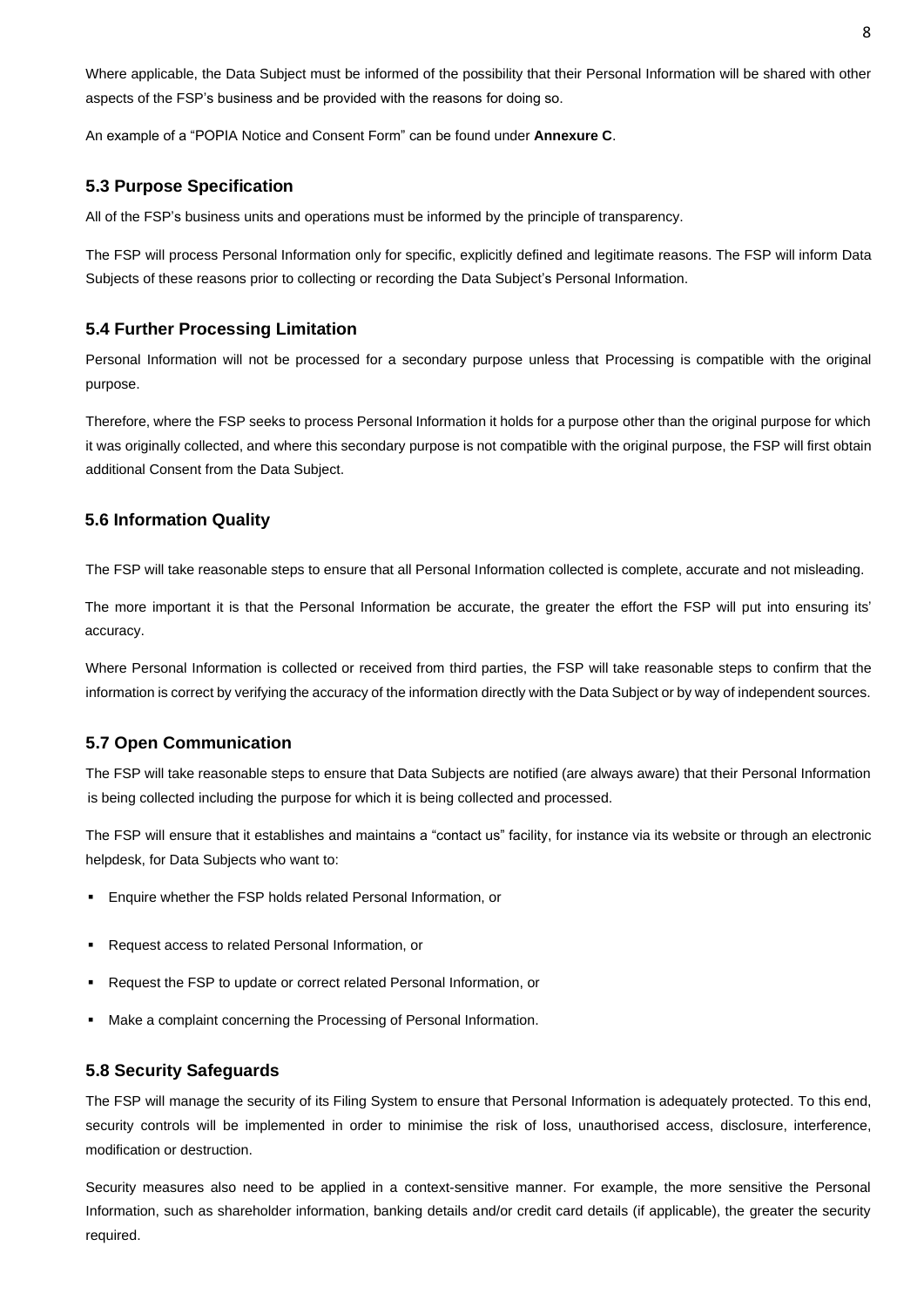Where applicable, the Data Subject must be informed of the possibility that their Personal Information will be shared with other aspects of the FSP's business and be provided with the reasons for doing so.

An example of a "POPIA Notice and Consent Form" can be found under **Annexure C**.

### <span id="page-8-0"></span>**5.3 Purpose Specification**

All of the FSP's business units and operations must be informed by the principle of transparency.

The FSP will process Personal Information only for specific, explicitly defined and legitimate reasons. The FSP will inform Data Subjects of these reasons prior to collecting or recording the Data Subject's Personal Information.

#### <span id="page-8-1"></span>**5.4 Further Processing Limitation**

Personal Information will not be processed for a secondary purpose unless that Processing is compatible with the original purpose.

Therefore, where the FSP seeks to process Personal Information it holds for a purpose other than the original purpose for which it was originally collected, and where this secondary purpose is not compatible with the original purpose, the FSP will first obtain additional Consent from the Data Subject.

### <span id="page-8-2"></span>**5.6 Information Quality**

The FSP will take reasonable steps to ensure that all Personal Information collected is complete, accurate and not misleading.

The more important it is that the Personal Information be accurate, the greater the effort the FSP will put into ensuring its' accuracy.

Where Personal Information is collected or received from third parties, the FSP will take reasonable steps to confirm that the information is correct by verifying the accuracy of the information directly with the Data Subject or by way of independent sources.

#### <span id="page-8-3"></span>**5.7 Open Communication**

The FSP will take reasonable steps to ensure that Data Subjects are notified (are always aware) that their Personal Information is being collected including the purpose for which it is being collected and processed.

The FSP will ensure that it establishes and maintains a "contact us" facility, for instance via its website or through an electronic helpdesk, for Data Subjects who want to:

- Enquire whether the FSP holds related Personal Information, or
- Request access to related Personal Information, or
- Request the FSP to update or correct related Personal Information, or
- Make a complaint concerning the Processing of Personal Information.

#### <span id="page-8-4"></span>**5.8 Security Safeguards**

The FSP will manage the security of its Filing System to ensure that Personal Information is adequately protected. To this end, security controls will be implemented in order to minimise the risk of loss, unauthorised access, disclosure, interference, modification or destruction.

Security measures also need to be applied in a context-sensitive manner. For example, the more sensitive the Personal Information, such as shareholder information, banking details and/or credit card details (if applicable), the greater the security required.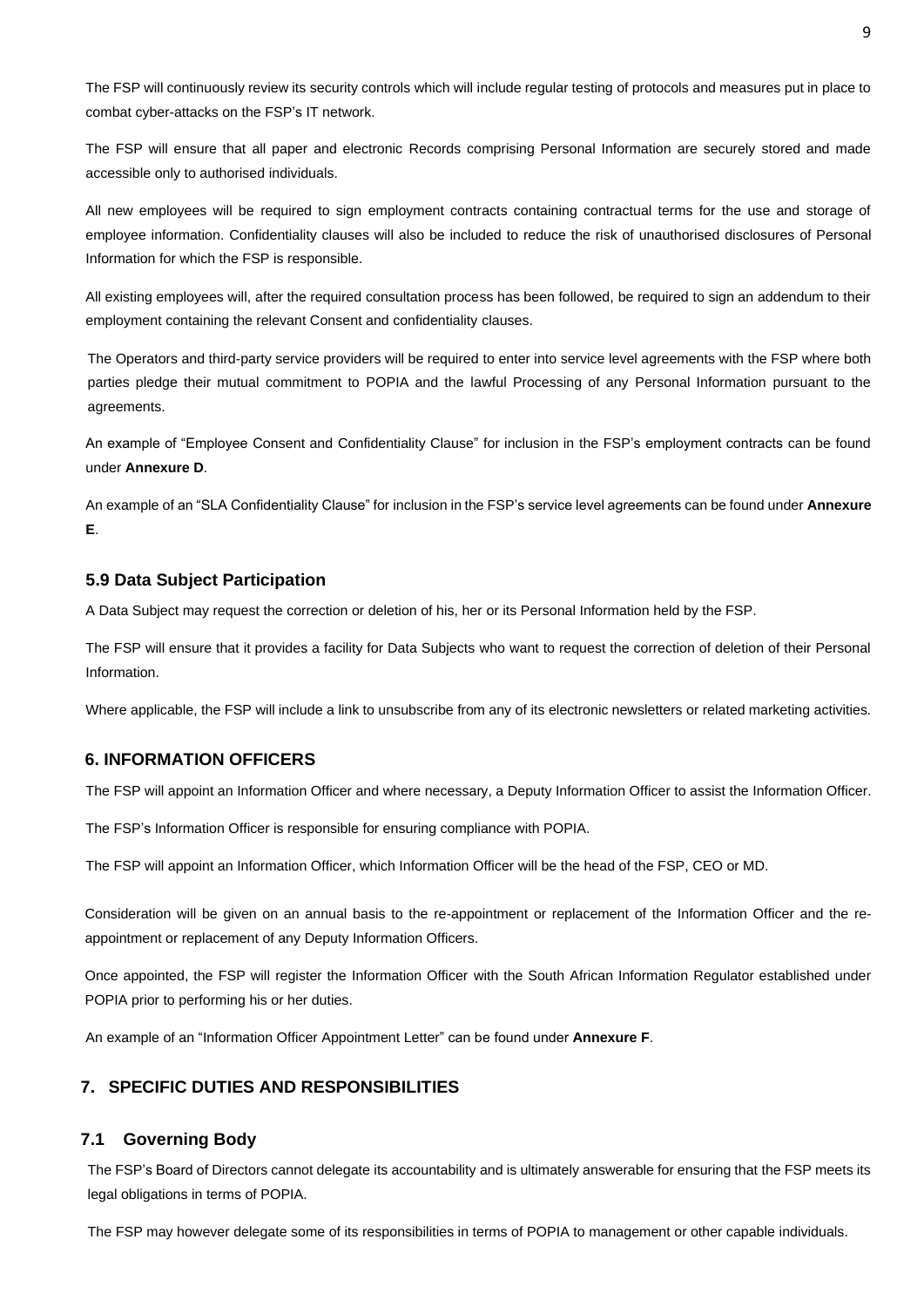The FSP will continuously review its security controls which will include regular testing of protocols and measures put in place to combat cyber-attacks on the FSP's IT network.

The FSP will ensure that all paper and electronic Records comprising Personal Information are securely stored and made accessible only to authorised individuals.

All new employees will be required to sign employment contracts containing contractual terms for the use and storage of employee information. Confidentiality clauses will also be included to reduce the risk of unauthorised disclosures of Personal Information for which the FSP is responsible.

All existing employees will, after the required consultation process has been followed, be required to sign an addendum to their employment containing the relevant Consent and confidentiality clauses.

The Operators and third-party service providers will be required to enter into service level agreements with the FSP where both parties pledge their mutual commitment to POPIA and the lawful Processing of any Personal Information pursuant to the agreements.

An example of "Employee Consent and Confidentiality Clause" for inclusion in the FSP's employment contracts can be found under **Annexure D**.

An example of an "SLA Confidentiality Clause" for inclusion in the FSP's service level agreements can be found under **Annexure E**.

#### <span id="page-9-0"></span>**5.9 Data Subject Participation**

A Data Subject may request the correction or deletion of his, her or its Personal Information held by the FSP.

The FSP will ensure that it provides a facility for Data Subjects who want to request the correction of deletion of their Personal Information.

Where applicable, the FSP will include a link to unsubscribe from any of its electronic newsletters or related marketing activities.

## <span id="page-9-1"></span>**6. INFORMATION OFFICERS**

The FSP will appoint an Information Officer and where necessary, a Deputy Information Officer to assist the Information Officer.

The FSP's Information Officer is responsible for ensuring compliance with POPIA.

The FSP will appoint an Information Officer, which Information Officer will be the head of the FSP, CEO or MD.

Consideration will be given on an annual basis to the re-appointment or replacement of the Information Officer and the reappointment or replacement of any Deputy Information Officers.

Once appointed, the FSP will register the Information Officer with the South African Information Regulator established under POPIA prior to performing his or her duties.

An example of an "Information Officer Appointment Letter" can be found under **Annexure F**.

## <span id="page-9-2"></span>**7. SPECIFIC DUTIES AND RESPONSIBILITIES**

#### <span id="page-9-3"></span>**7.1 Governing Body**

The FSP's Board of Directors cannot delegate its accountability and is ultimately answerable for ensuring that the FSP meets its legal obligations in terms of POPIA.

The FSP may however delegate some of its responsibilities in terms of POPIA to management or other capable individuals.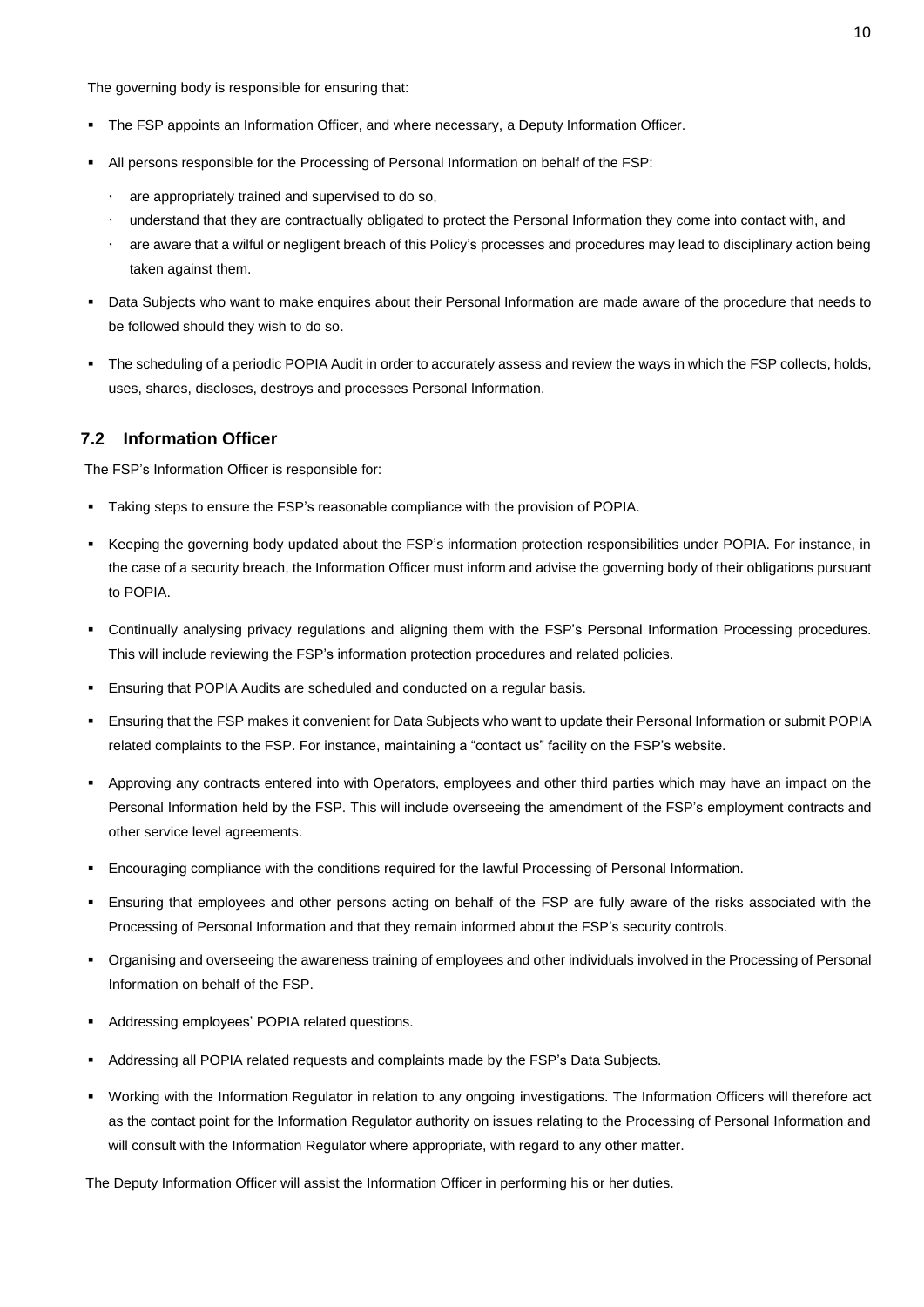The governing body is responsible for ensuring that:

- The FSP appoints an Information Officer, and where necessary, a Deputy Information Officer.
- All persons responsible for the Processing of Personal Information on behalf of the FSP:
	- are appropriately trained and supervised to do so,
	- understand that they are contractually obligated to protect the Personal Information they come into contact with, and
	- are aware that a wilful or negligent breach of this Policy's processes and procedures may lead to disciplinary action being taken against them.
- Data Subjects who want to make enquires about their Personal Information are made aware of the procedure that needs to be followed should they wish to do so.
- The scheduling of a periodic POPIA Audit in order to accurately assess and review the ways in which the FSP collects, holds, uses, shares, discloses, destroys and processes Personal Information.

## <span id="page-10-0"></span>**7.2 Information Officer**

The FSP's Information Officer is responsible for:

- Taking steps to ensure the FSP's reasonable compliance with the provision of POPIA.
- Keeping the governing body updated about the FSP's information protection responsibilities under POPIA. For instance, in the case of a security breach, the Information Officer must inform and advise the governing body of their obligations pursuant to POPIA.
- Continually analysing privacy regulations and aligning them with the FSP's Personal Information Processing procedures. This will include reviewing the FSP's information protection procedures and related policies.
- **Ensuring that POPIA Audits are scheduled and conducted on a regular basis.**
- Ensuring that the FSP makes it convenient for Data Subjects who want to update their Personal Information or submit POPIA related complaints to the FSP. For instance, maintaining a "contact us" facility on the FSP's website.
- Approving any contracts entered into with Operators, employees and other third parties which may have an impact on the Personal Information held by the FSP. This will include overseeing the amendment of the FSP's employment contracts and other service level agreements.
- Encouraging compliance with the conditions required for the lawful Processing of Personal Information.
- Ensuring that employees and other persons acting on behalf of the FSP are fully aware of the risks associated with the Processing of Personal Information and that they remain informed about the FSP's security controls.
- Organising and overseeing the awareness training of employees and other individuals involved in the Processing of Personal Information on behalf of the FSP.
- Addressing employees' POPIA related questions.
- Addressing all POPIA related requests and complaints made by the FSP's Data Subjects.
- Working with the Information Regulator in relation to any ongoing investigations. The Information Officers will therefore act as the contact point for the Information Regulator authority on issues relating to the Processing of Personal Information and will consult with the Information Regulator where appropriate, with regard to any other matter.

The Deputy Information Officer will assist the Information Officer in performing his or her duties.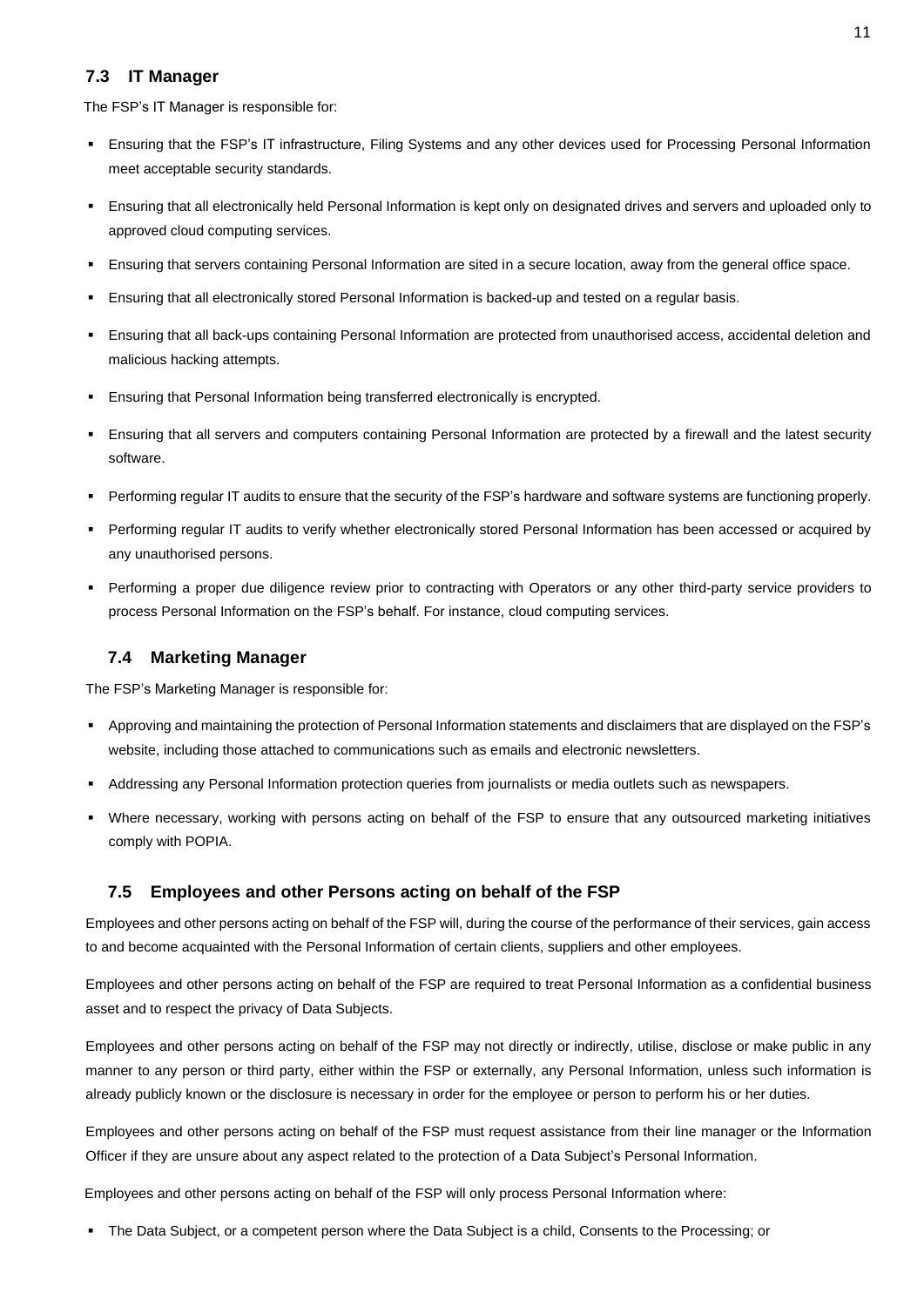## <span id="page-11-0"></span>**7.3 IT Manager**

The FSP's IT Manager is responsible for:

- Ensuring that the FSP's IT infrastructure, Filing Systems and any other devices used for Processing Personal Information meet acceptable security standards.
- Ensuring that all electronically held Personal Information is kept only on designated drives and servers and uploaded only to approved cloud computing services.
- Ensuring that servers containing Personal Information are sited in a secure location, away from the general office space.
- Ensuring that all electronically stored Personal Information is backed-up and tested on a regular basis.
- Ensuring that all back-ups containing Personal Information are protected from unauthorised access, accidental deletion and malicious hacking attempts.
- Ensuring that Personal Information being transferred electronically is encrypted.
- Ensuring that all servers and computers containing Personal Information are protected by a firewall and the latest security software.
- Performing regular IT audits to ensure that the security of the FSP's hardware and software systems are functioning properly.
- Performing regular IT audits to verify whether electronically stored Personal Information has been accessed or acquired by any unauthorised persons.
- Performing a proper due diligence review prior to contracting with Operators or any other third-party service providers to process Personal Information on the FSP's behalf. For instance, cloud computing services.

## <span id="page-11-1"></span>**7.4 Marketing Manager**

The FSP's Marketing Manager is responsible for:

- Approving and maintaining the protection of Personal Information statements and disclaimers that are displayed on the FSP's website, including those attached to communications such as emails and electronic newsletters.
- Addressing any Personal Information protection queries from journalists or media outlets such as newspapers.
- Where necessary, working with persons acting on behalf of the FSP to ensure that any outsourced marketing initiatives comply with POPIA.

### <span id="page-11-2"></span>**7.5 Employees and other Persons acting on behalf of the FSP**

Employees and other persons acting on behalf of the FSP will, during the course of the performance of their services, gain access to and become acquainted with the Personal Information of certain clients, suppliers and other employees.

Employees and other persons acting on behalf of the FSP are required to treat Personal Information as a confidential business asset and to respect the privacy of Data Subjects.

Employees and other persons acting on behalf of the FSP may not directly or indirectly, utilise, disclose or make public in any manner to any person or third party, either within the FSP or externally, any Personal Information, unless such information is already publicly known or the disclosure is necessary in order for the employee or person to perform his or her duties.

Employees and other persons acting on behalf of the FSP must request assistance from their line manager or the Information Officer if they are unsure about any aspect related to the protection of a Data Subject's Personal Information.

Employees and other persons acting on behalf of the FSP will only process Personal Information where:

▪ The Data Subject, or a competent person where the Data Subject is a child, Consents to the Processing; or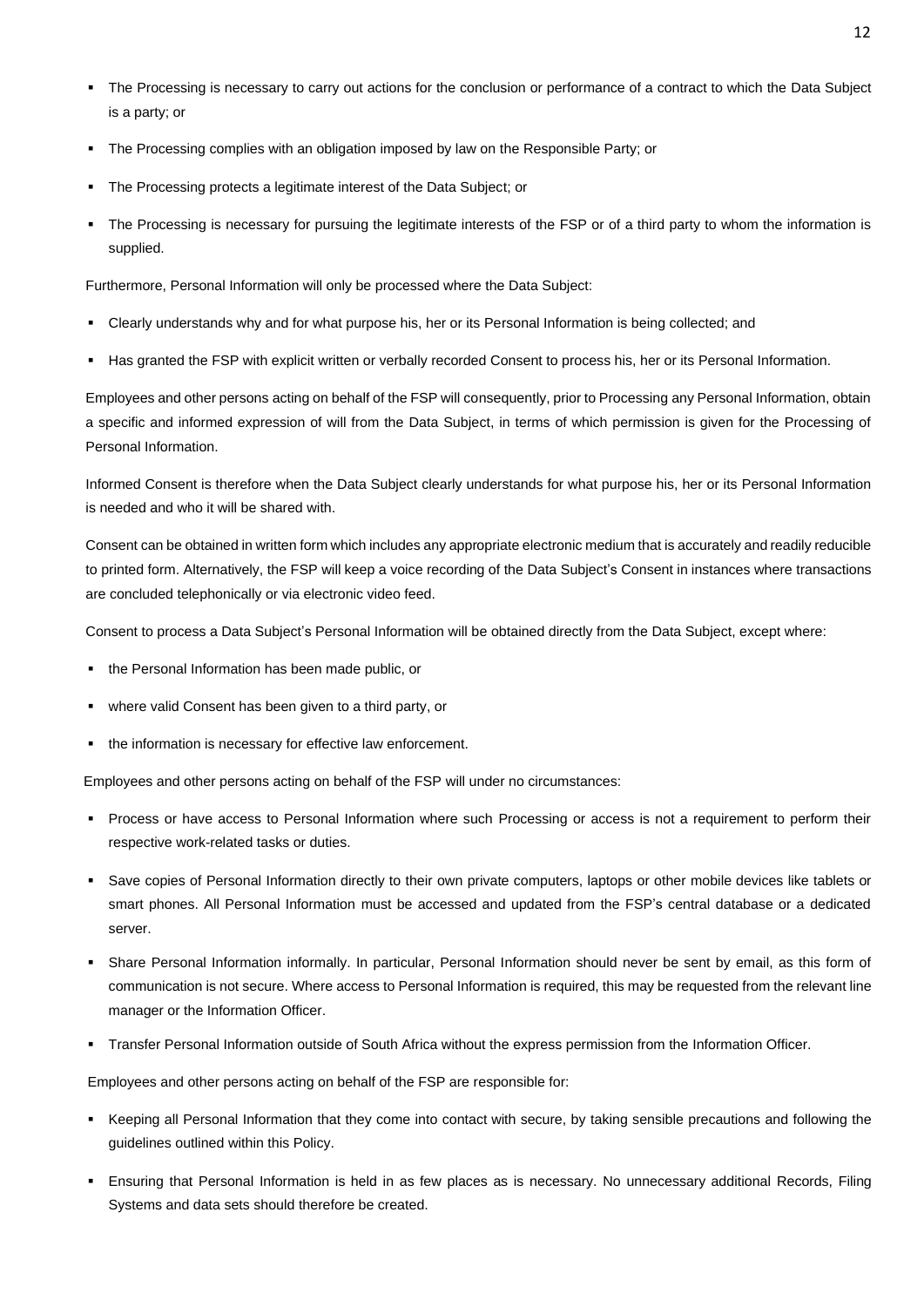- The Processing is necessary to carry out actions for the conclusion or performance of a contract to which the Data Subject is a party; or
- The Processing complies with an obligation imposed by law on the Responsible Party; or
- The Processing protects a legitimate interest of the Data Subject; or
- The Processing is necessary for pursuing the legitimate interests of the FSP or of a third party to whom the information is supplied.

Furthermore, Personal Information will only be processed where the Data Subject:

- Clearly understands why and for what purpose his, her or its Personal Information is being collected; and
- Has granted the FSP with explicit written or verbally recorded Consent to process his, her or its Personal Information.

Employees and other persons acting on behalf of the FSP will consequently, prior to Processing any Personal Information, obtain a specific and informed expression of will from the Data Subject, in terms of which permission is given for the Processing of Personal Information.

Informed Consent is therefore when the Data Subject clearly understands for what purpose his, her or its Personal Information is needed and who it will be shared with.

Consent can be obtained in written form which includes any appropriate electronic medium that is accurately and readily reducible to printed form. Alternatively, the FSP will keep a voice recording of the Data Subject's Consent in instances where transactions are concluded telephonically or via electronic video feed.

Consent to process a Data Subject's Personal Information will be obtained directly from the Data Subject, except where:

- the Personal Information has been made public, or
- where valid Consent has been given to a third party, or
- the information is necessary for effective law enforcement.

Employees and other persons acting on behalf of the FSP will under no circumstances:

- Process or have access to Personal Information where such Processing or access is not a requirement to perform their respective work-related tasks or duties.
- Save copies of Personal Information directly to their own private computers, laptops or other mobile devices like tablets or smart phones. All Personal Information must be accessed and updated from the FSP's central database or a dedicated server.
- Share Personal Information informally. In particular, Personal Information should never be sent by email, as this form of communication is not secure. Where access to Personal Information is required, this may be requested from the relevant line manager or the Information Officer.
- Transfer Personal Information outside of South Africa without the express permission from the Information Officer.

Employees and other persons acting on behalf of the FSP are responsible for:

- Keeping all Personal Information that they come into contact with secure, by taking sensible precautions and following the guidelines outlined within this Policy.
- Ensuring that Personal Information is held in as few places as is necessary. No unnecessary additional Records, Filing Systems and data sets should therefore be created.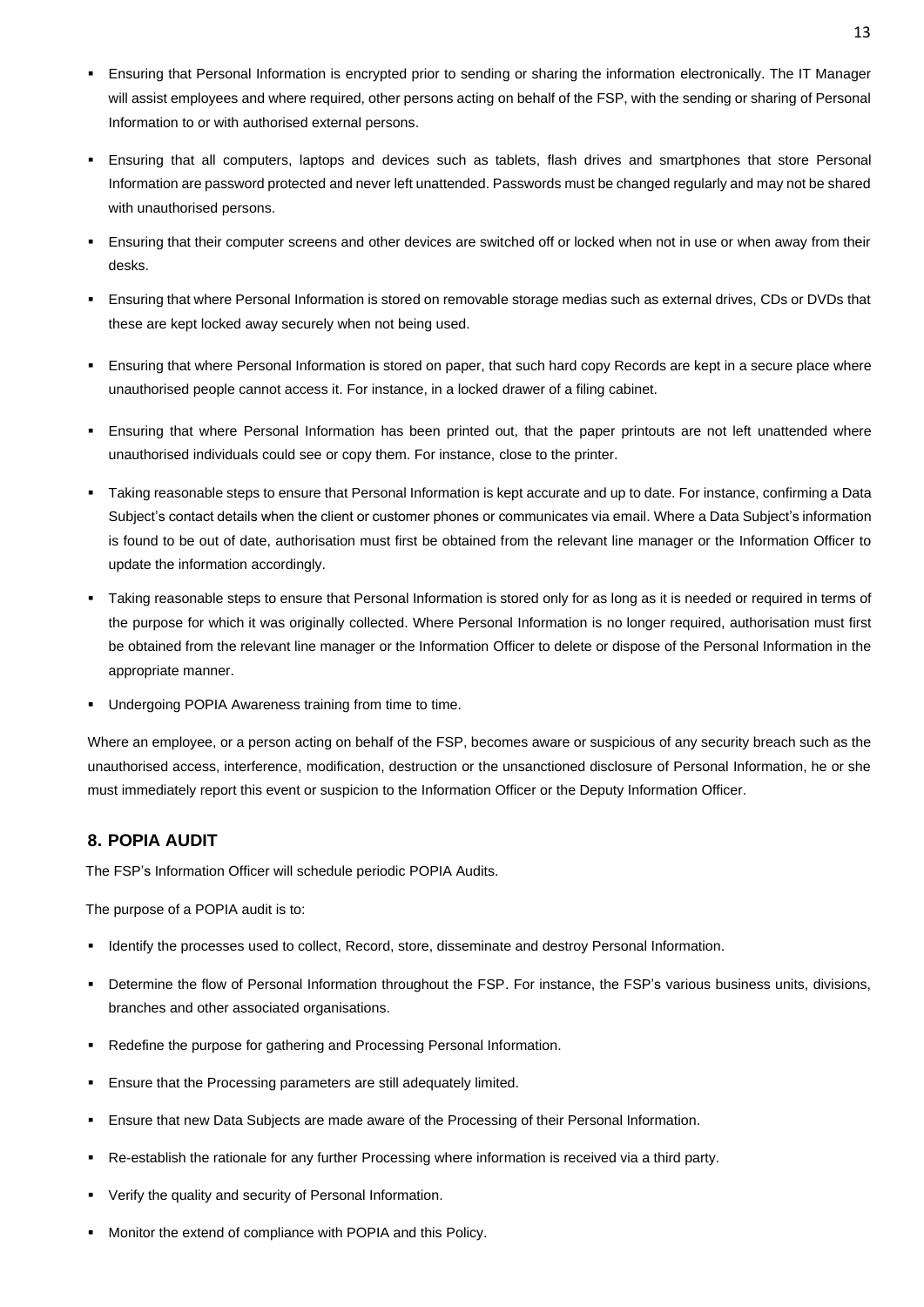- Ensuring that Personal Information is encrypted prior to sending or sharing the information electronically. The IT Manager will assist employees and where required, other persons acting on behalf of the FSP, with the sending or sharing of Personal Information to or with authorised external persons.
- Ensuring that all computers, laptops and devices such as tablets, flash drives and smartphones that store Personal Information are password protected and never left unattended. Passwords must be changed regularly and may not be shared with unauthorised persons.
- Ensuring that their computer screens and other devices are switched off or locked when not in use or when away from their desks.
- Ensuring that where Personal Information is stored on removable storage medias such as external drives, CDs or DVDs that these are kept locked away securely when not being used.
- Ensuring that where Personal Information is stored on paper, that such hard copy Records are kept in a secure place where unauthorised people cannot access it. For instance, in a locked drawer of a filing cabinet.
- Ensuring that where Personal Information has been printed out, that the paper printouts are not left unattended where unauthorised individuals could see or copy them. For instance, close to the printer.
- Taking reasonable steps to ensure that Personal Information is kept accurate and up to date. For instance, confirming a Data Subject's contact details when the client or customer phones or communicates via email. Where a Data Subject's information is found to be out of date, authorisation must first be obtained from the relevant line manager or the Information Officer to update the information accordingly.
- Taking reasonable steps to ensure that Personal Information is stored only for as long as it is needed or required in terms of the purpose for which it was originally collected. Where Personal Information is no longer required, authorisation must first be obtained from the relevant line manager or the Information Officer to delete or dispose of the Personal Information in the appropriate manner.
- Undergoing POPIA Awareness training from time to time.

Where an employee, or a person acting on behalf of the FSP, becomes aware or suspicious of any security breach such as the unauthorised access, interference, modification, destruction or the unsanctioned disclosure of Personal Information, he or she must immediately report this event or suspicion to the Information Officer or the Deputy Information Officer.

## <span id="page-13-0"></span>**8. POPIA AUDIT**

The FSP's Information Officer will schedule periodic POPIA Audits.

The purpose of a POPIA audit is to:

- Identify the processes used to collect, Record, store, disseminate and destroy Personal Information.
- Determine the flow of Personal Information throughout the FSP. For instance, the FSP's various business units, divisions, branches and other associated organisations.
- Redefine the purpose for gathering and Processing Personal Information.
- **Ensure that the Processing parameters are still adequately limited.**
- Ensure that new Data Subjects are made aware of the Processing of their Personal Information.
- Re-establish the rationale for any further Processing where information is received via a third party.
- Verify the quality and security of Personal Information.
- Monitor the extend of compliance with POPIA and this Policy.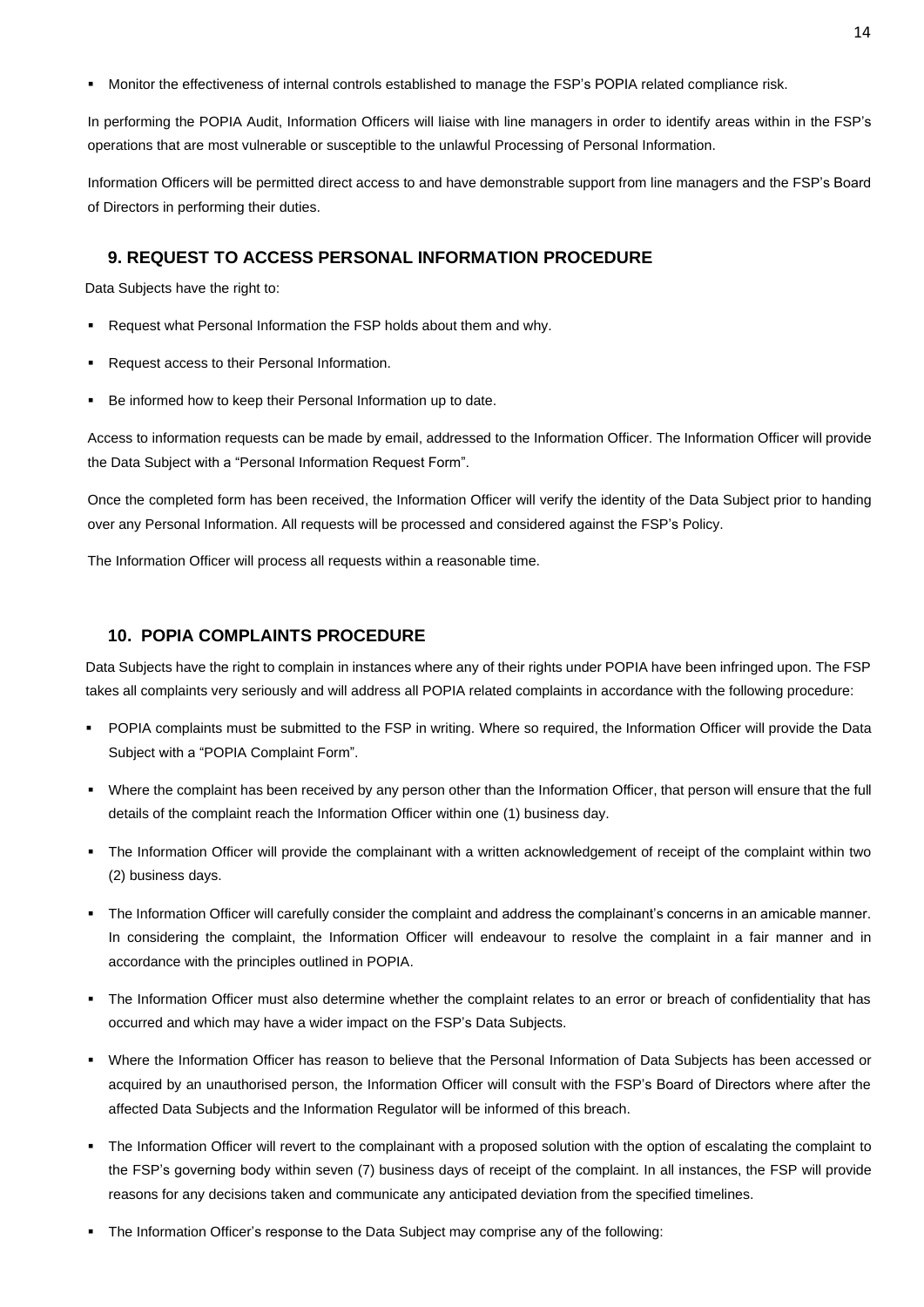Monitor the effectiveness of internal controls established to manage the FSP's POPIA related compliance risk.

In performing the POPIA Audit, Information Officers will liaise with line managers in order to identify areas within in the FSP's operations that are most vulnerable or susceptible to the unlawful Processing of Personal Information.

Information Officers will be permitted direct access to and have demonstrable support from line managers and the FSP's Board of Directors in performing their duties.

## <span id="page-14-0"></span>**9. REQUEST TO ACCESS PERSONAL INFORMATION PROCEDURE**

Data Subjects have the right to:

- Request what Personal Information the FSP holds about them and why.
- Request access to their Personal Information.
- Be informed how to keep their Personal Information up to date.

Access to information requests can be made by email, addressed to the Information Officer. The Information Officer will provide the Data Subject with a "Personal Information Request Form".

Once the completed form has been received, the Information Officer will verify the identity of the Data Subject prior to handing over any Personal Information. All requests will be processed and considered against the FSP's Policy.

The Information Officer will process all requests within a reasonable time.

## <span id="page-14-1"></span>**10. POPIA COMPLAINTS PROCEDURE**

Data Subjects have the right to complain in instances where any of their rights under POPIA have been infringed upon. The FSP takes all complaints very seriously and will address all POPIA related complaints in accordance with the following procedure:

- POPIA complaints must be submitted to the FSP in writing. Where so required, the Information Officer will provide the Data Subject with a "POPIA Complaint Form".
- Where the complaint has been received by any person other than the Information Officer, that person will ensure that the full details of the complaint reach the Information Officer within one (1) business day.
- The Information Officer will provide the complainant with a written acknowledgement of receipt of the complaint within two (2) business days.
- The Information Officer will carefully consider the complaint and address the complainant's concerns in an amicable manner. In considering the complaint, the Information Officer will endeavour to resolve the complaint in a fair manner and in accordance with the principles outlined in POPIA.
- The Information Officer must also determine whether the complaint relates to an error or breach of confidentiality that has occurred and which may have a wider impact on the FSP's Data Subjects.
- Where the Information Officer has reason to believe that the Personal Information of Data Subjects has been accessed or acquired by an unauthorised person, the Information Officer will consult with the FSP's Board of Directors where after the affected Data Subjects and the Information Regulator will be informed of this breach.
- The Information Officer will revert to the complainant with a proposed solution with the option of escalating the complaint to the FSP's governing body within seven (7) business days of receipt of the complaint. In all instances, the FSP will provide reasons for any decisions taken and communicate any anticipated deviation from the specified timelines.
- The Information Officer's response to the Data Subject may comprise any of the following: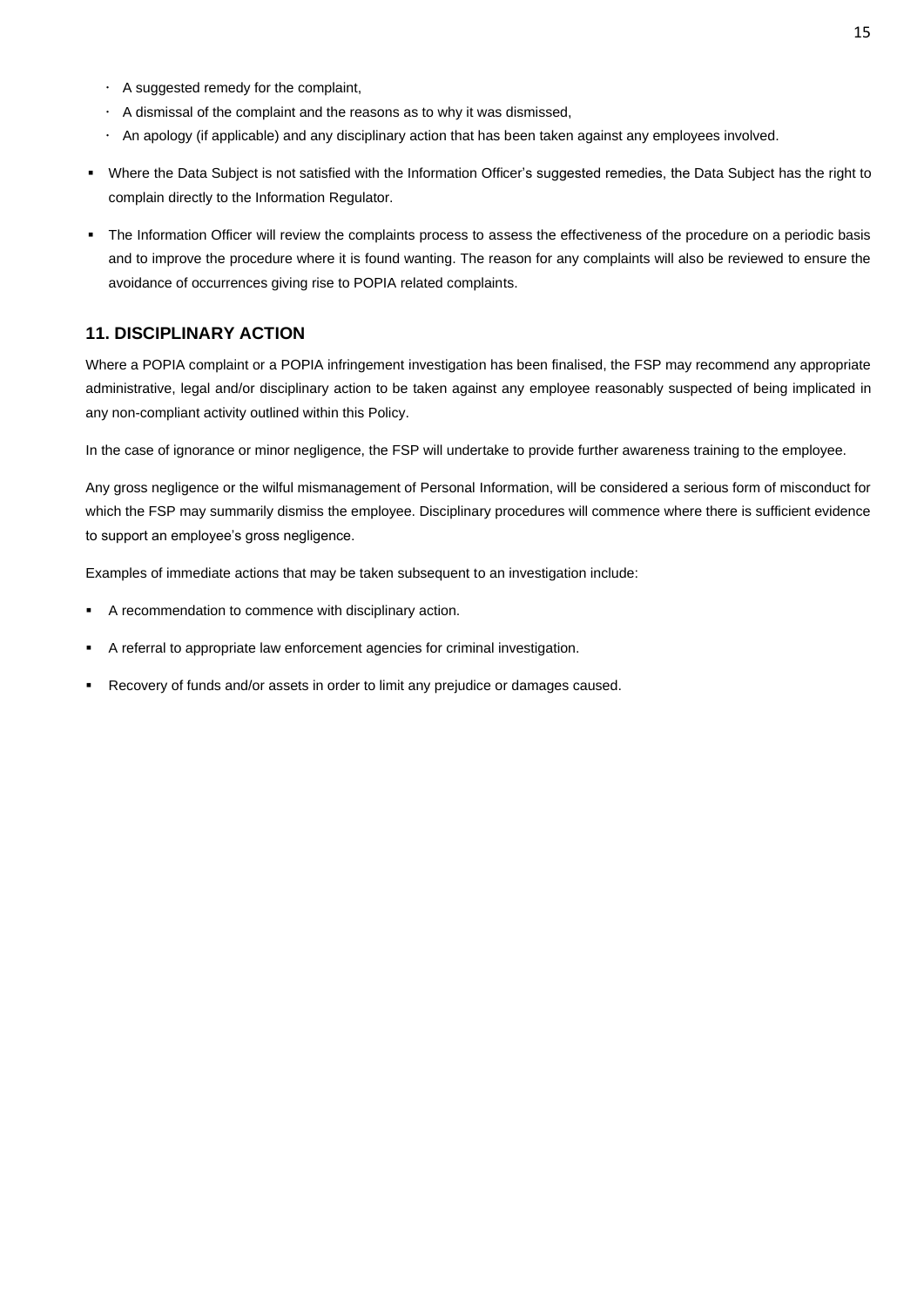- A suggested remedy for the complaint,
- $\cdot$  A dismissal of the complaint and the reasons as to why it was dismissed,
- An apology (if applicable) and any disciplinary action that has been taken against any employees involved.
- Where the Data Subject is not satisfied with the Information Officer's suggested remedies, the Data Subject has the right to complain directly to the Information Regulator.
- The Information Officer will review the complaints process to assess the effectiveness of the procedure on a periodic basis and to improve the procedure where it is found wanting. The reason for any complaints will also be reviewed to ensure the avoidance of occurrences giving rise to POPIA related complaints.

## <span id="page-15-0"></span>**11. DISCIPLINARY ACTION**

Where a POPIA complaint or a POPIA infringement investigation has been finalised, the FSP may recommend any appropriate administrative, legal and/or disciplinary action to be taken against any employee reasonably suspected of being implicated in any non-compliant activity outlined within this Policy.

In the case of ignorance or minor negligence, the FSP will undertake to provide further awareness training to the employee.

Any gross negligence or the wilful mismanagement of Personal Information, will be considered a serious form of misconduct for which the FSP may summarily dismiss the employee. Disciplinary procedures will commence where there is sufficient evidence to support an employee's gross negligence.

Examples of immediate actions that may be taken subsequent to an investigation include:

- A recommendation to commence with disciplinary action.
- A referral to appropriate law enforcement agencies for criminal investigation.
- Recovery of funds and/or assets in order to limit any prejudice or damages caused.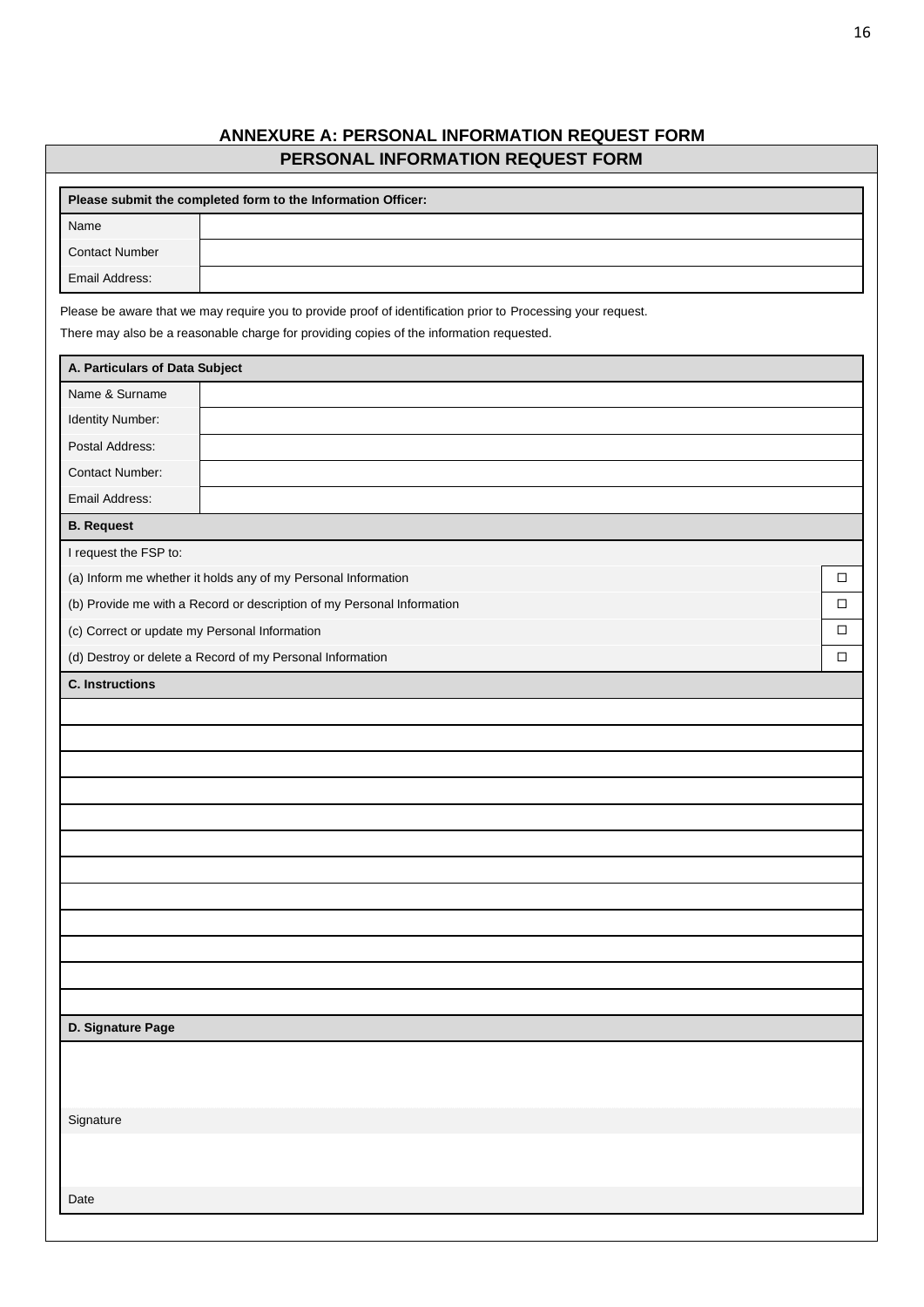# **ANNEXURE A: PERSONAL INFORMATION REQUEST FORM PERSONAL INFORMATION REQUEST FORM**

<span id="page-16-0"></span>

|                                               | Please submit the completed form to the Information Officer:                                                                                                                                             |        |
|-----------------------------------------------|----------------------------------------------------------------------------------------------------------------------------------------------------------------------------------------------------------|--------|
| Name                                          |                                                                                                                                                                                                          |        |
| <b>Contact Number</b>                         |                                                                                                                                                                                                          |        |
| Email Address:                                |                                                                                                                                                                                                          |        |
|                                               | Please be aware that we may require you to provide proof of identification prior to Processing your request.<br>There may also be a reasonable charge for providing copies of the information requested. |        |
| A. Particulars of Data Subject                |                                                                                                                                                                                                          |        |
| Name & Surname                                |                                                                                                                                                                                                          |        |
| Identity Number:                              |                                                                                                                                                                                                          |        |
| Postal Address:                               |                                                                                                                                                                                                          |        |
| Contact Number:                               |                                                                                                                                                                                                          |        |
| Email Address:                                |                                                                                                                                                                                                          |        |
| <b>B.</b> Request                             |                                                                                                                                                                                                          |        |
| I request the FSP to:                         |                                                                                                                                                                                                          |        |
|                                               | (a) Inform me whether it holds any of my Personal Information                                                                                                                                            | $\Box$ |
|                                               | (b) Provide me with a Record or description of my Personal Information                                                                                                                                   | □      |
| (c) Correct or update my Personal Information |                                                                                                                                                                                                          | $\Box$ |
|                                               | (d) Destroy or delete a Record of my Personal Information                                                                                                                                                | $\Box$ |
| <b>C.</b> Instructions                        |                                                                                                                                                                                                          |        |
|                                               |                                                                                                                                                                                                          |        |
|                                               |                                                                                                                                                                                                          |        |
|                                               |                                                                                                                                                                                                          |        |
|                                               |                                                                                                                                                                                                          |        |
|                                               |                                                                                                                                                                                                          |        |
|                                               |                                                                                                                                                                                                          |        |
|                                               |                                                                                                                                                                                                          |        |
|                                               |                                                                                                                                                                                                          |        |
|                                               |                                                                                                                                                                                                          |        |
|                                               |                                                                                                                                                                                                          |        |
|                                               |                                                                                                                                                                                                          |        |
|                                               |                                                                                                                                                                                                          |        |
| D. Signature Page                             |                                                                                                                                                                                                          |        |
|                                               |                                                                                                                                                                                                          |        |
|                                               |                                                                                                                                                                                                          |        |
|                                               |                                                                                                                                                                                                          |        |
| Signature                                     |                                                                                                                                                                                                          |        |
|                                               |                                                                                                                                                                                                          |        |
|                                               |                                                                                                                                                                                                          |        |
| Date                                          |                                                                                                                                                                                                          |        |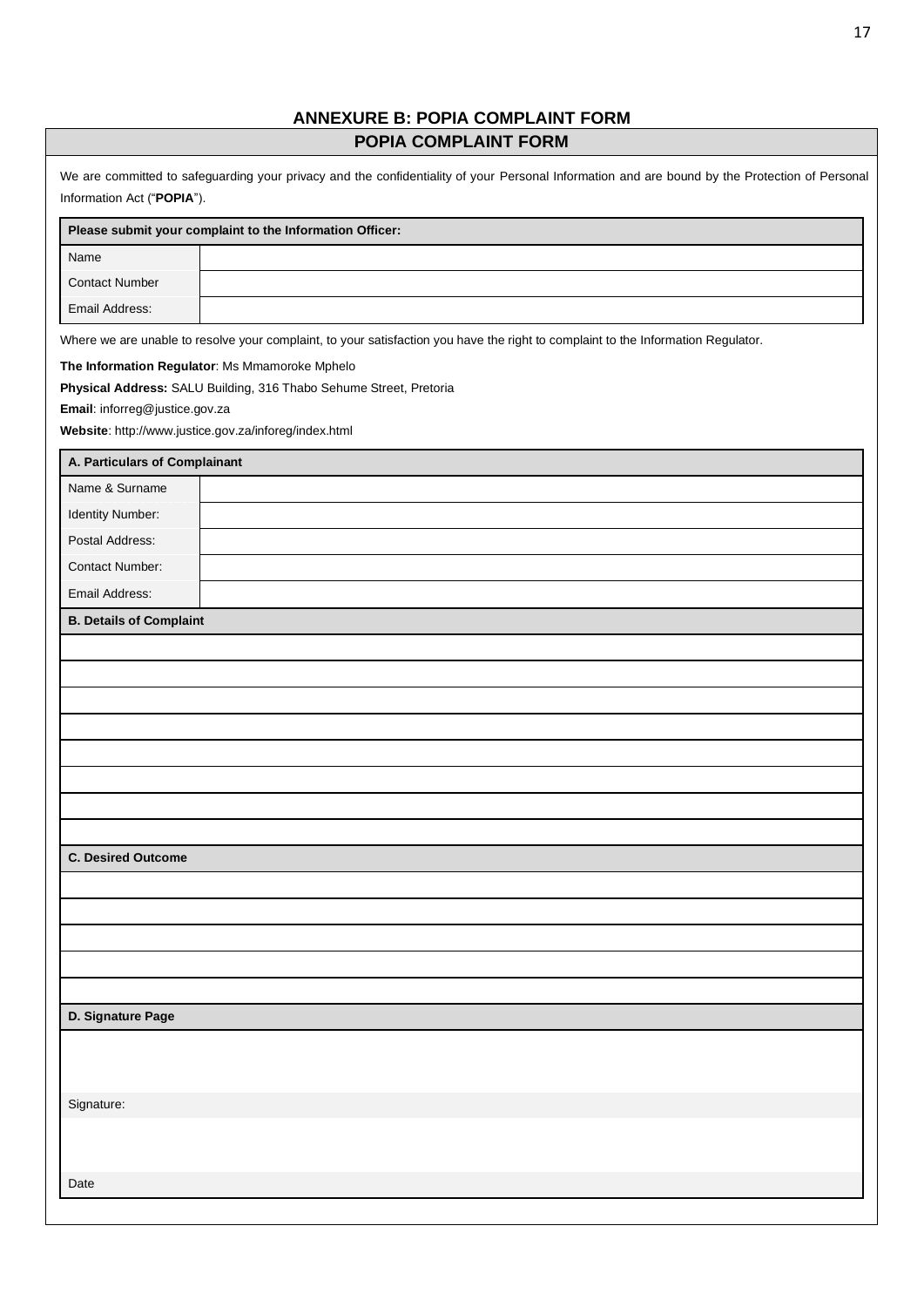# **ANNEXURE B: POPIA COMPLAINT FORM POPIA COMPLAINT FORM**

<span id="page-17-0"></span>

| Name<br><b>Contact Number</b><br>Email Address:<br>Where we are unable to resolve your complaint, to your satisfaction you have the right to complaint to the Information Regulator.<br>The Information Regulator: Ms Mmamoroke Mphelo<br>Physical Address: SALU Building, 316 Thabo Sehume Street, Pretoria<br>Email: inforreg@justice.gov.za<br>Website: http://www.justice.gov.za/inforeg/index.html<br>A. Particulars of Complainant<br>Name & Surname<br>Identity Number:<br>Postal Address:<br>Contact Number:<br>Email Address:<br><b>B. Details of Complaint</b><br><b>C. Desired Outcome</b><br>D. Signature Page<br>Signature: | Please submit your complaint to the Information Officer: |  |  |
|------------------------------------------------------------------------------------------------------------------------------------------------------------------------------------------------------------------------------------------------------------------------------------------------------------------------------------------------------------------------------------------------------------------------------------------------------------------------------------------------------------------------------------------------------------------------------------------------------------------------------------------|----------------------------------------------------------|--|--|
|                                                                                                                                                                                                                                                                                                                                                                                                                                                                                                                                                                                                                                          |                                                          |  |  |
|                                                                                                                                                                                                                                                                                                                                                                                                                                                                                                                                                                                                                                          |                                                          |  |  |
|                                                                                                                                                                                                                                                                                                                                                                                                                                                                                                                                                                                                                                          |                                                          |  |  |
|                                                                                                                                                                                                                                                                                                                                                                                                                                                                                                                                                                                                                                          |                                                          |  |  |
|                                                                                                                                                                                                                                                                                                                                                                                                                                                                                                                                                                                                                                          |                                                          |  |  |
|                                                                                                                                                                                                                                                                                                                                                                                                                                                                                                                                                                                                                                          |                                                          |  |  |
|                                                                                                                                                                                                                                                                                                                                                                                                                                                                                                                                                                                                                                          |                                                          |  |  |
|                                                                                                                                                                                                                                                                                                                                                                                                                                                                                                                                                                                                                                          |                                                          |  |  |
|                                                                                                                                                                                                                                                                                                                                                                                                                                                                                                                                                                                                                                          |                                                          |  |  |
|                                                                                                                                                                                                                                                                                                                                                                                                                                                                                                                                                                                                                                          |                                                          |  |  |
|                                                                                                                                                                                                                                                                                                                                                                                                                                                                                                                                                                                                                                          |                                                          |  |  |
|                                                                                                                                                                                                                                                                                                                                                                                                                                                                                                                                                                                                                                          |                                                          |  |  |
|                                                                                                                                                                                                                                                                                                                                                                                                                                                                                                                                                                                                                                          |                                                          |  |  |
|                                                                                                                                                                                                                                                                                                                                                                                                                                                                                                                                                                                                                                          |                                                          |  |  |
|                                                                                                                                                                                                                                                                                                                                                                                                                                                                                                                                                                                                                                          |                                                          |  |  |
|                                                                                                                                                                                                                                                                                                                                                                                                                                                                                                                                                                                                                                          |                                                          |  |  |
|                                                                                                                                                                                                                                                                                                                                                                                                                                                                                                                                                                                                                                          |                                                          |  |  |
|                                                                                                                                                                                                                                                                                                                                                                                                                                                                                                                                                                                                                                          |                                                          |  |  |
|                                                                                                                                                                                                                                                                                                                                                                                                                                                                                                                                                                                                                                          |                                                          |  |  |
|                                                                                                                                                                                                                                                                                                                                                                                                                                                                                                                                                                                                                                          |                                                          |  |  |
|                                                                                                                                                                                                                                                                                                                                                                                                                                                                                                                                                                                                                                          |                                                          |  |  |
|                                                                                                                                                                                                                                                                                                                                                                                                                                                                                                                                                                                                                                          |                                                          |  |  |
|                                                                                                                                                                                                                                                                                                                                                                                                                                                                                                                                                                                                                                          |                                                          |  |  |
|                                                                                                                                                                                                                                                                                                                                                                                                                                                                                                                                                                                                                                          |                                                          |  |  |
|                                                                                                                                                                                                                                                                                                                                                                                                                                                                                                                                                                                                                                          |                                                          |  |  |
|                                                                                                                                                                                                                                                                                                                                                                                                                                                                                                                                                                                                                                          |                                                          |  |  |
|                                                                                                                                                                                                                                                                                                                                                                                                                                                                                                                                                                                                                                          |                                                          |  |  |
|                                                                                                                                                                                                                                                                                                                                                                                                                                                                                                                                                                                                                                          |                                                          |  |  |
|                                                                                                                                                                                                                                                                                                                                                                                                                                                                                                                                                                                                                                          |                                                          |  |  |
|                                                                                                                                                                                                                                                                                                                                                                                                                                                                                                                                                                                                                                          |                                                          |  |  |
|                                                                                                                                                                                                                                                                                                                                                                                                                                                                                                                                                                                                                                          |                                                          |  |  |
|                                                                                                                                                                                                                                                                                                                                                                                                                                                                                                                                                                                                                                          |                                                          |  |  |
|                                                                                                                                                                                                                                                                                                                                                                                                                                                                                                                                                                                                                                          |                                                          |  |  |
|                                                                                                                                                                                                                                                                                                                                                                                                                                                                                                                                                                                                                                          |                                                          |  |  |
|                                                                                                                                                                                                                                                                                                                                                                                                                                                                                                                                                                                                                                          |                                                          |  |  |
|                                                                                                                                                                                                                                                                                                                                                                                                                                                                                                                                                                                                                                          |                                                          |  |  |
|                                                                                                                                                                                                                                                                                                                                                                                                                                                                                                                                                                                                                                          |                                                          |  |  |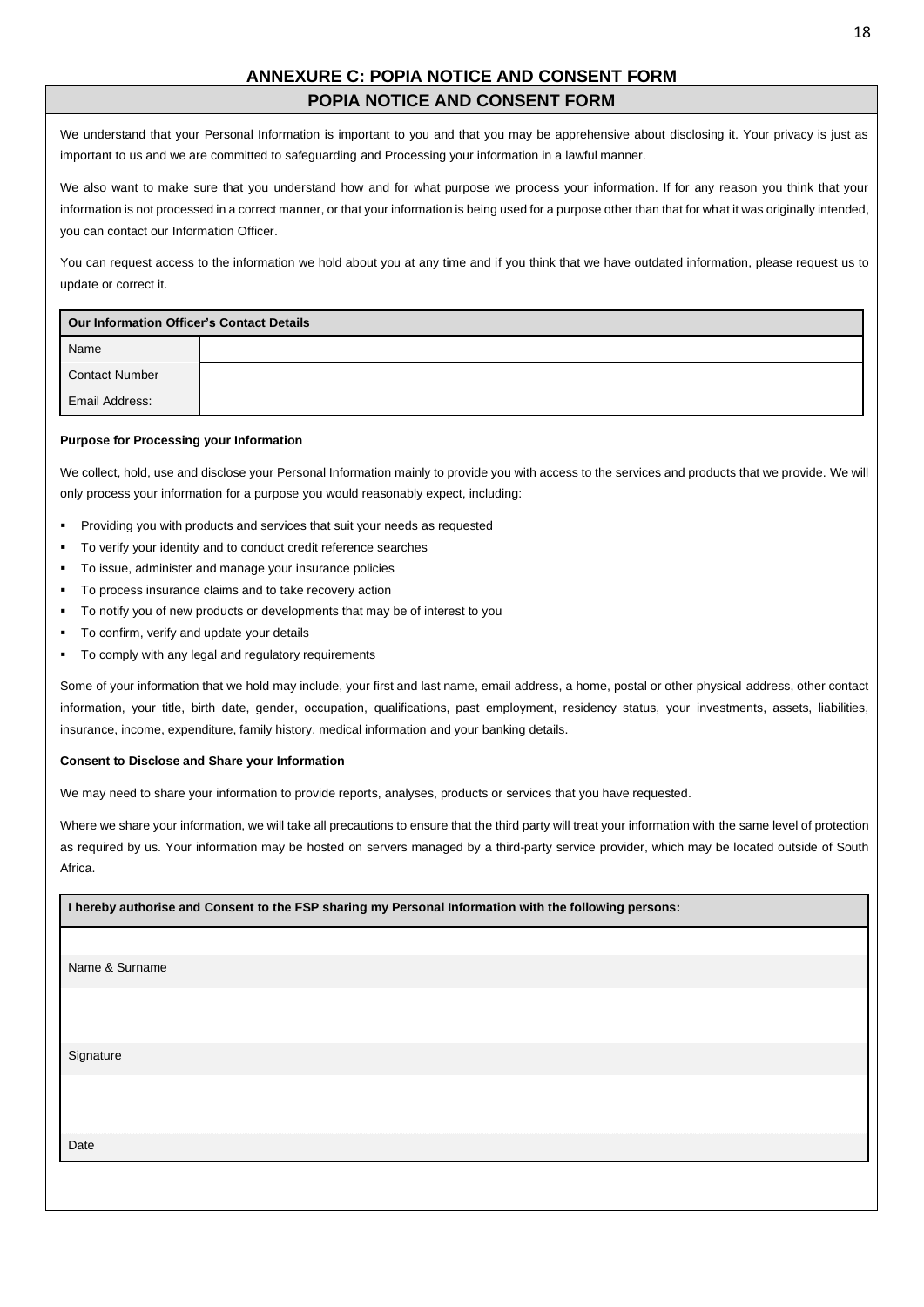## **ANNEXURE C: POPIA NOTICE AND CONSENT FORM POPIA NOTICE AND CONSENT FORM**

<span id="page-18-0"></span>We understand that your Personal Information is important to you and that you may be apprehensive about disclosing it. Your privacy is just as important to us and we are committed to safeguarding and Processing your information in a lawful manner.

We also want to make sure that you understand how and for what purpose we process your information. If for any reason you think that your information is not processed in a correct manner, or that your information is being used for a purpose other than that for what it was originally intended, you can contact our Information Officer.

You can request access to the information we hold about you at any time and if you think that we have outdated information, please request us to update or correct it.

| Our Information Officer's Contact Details |  |
|-------------------------------------------|--|
| Name                                      |  |
| <b>Contact Number</b>                     |  |
| Email Address:                            |  |

#### **Purpose for Processing your Information**

We collect, hold, use and disclose your Personal Information mainly to provide you with access to the services and products that we provide. We will only process your information for a purpose you would reasonably expect, including:

- Providing you with products and services that suit your needs as requested
- To verify your identity and to conduct credit reference searches
- To issue, administer and manage your insurance policies
- To process insurance claims and to take recovery action
- To notify you of new products or developments that may be of interest to you
- To confirm, verify and update your details
- To comply with any legal and regulatory requirements

Some of your information that we hold may include, your first and last name, email address, a home, postal or other physical address, other contact information, your title, birth date, gender, occupation, qualifications, past employment, residency status, your investments, assets, liabilities, insurance, income, expenditure, family history, medical information and your banking details.

#### **Consent to Disclose and Share your Information**

We may need to share your information to provide reports, analyses, products or services that you have requested.

Where we share your information, we will take all precautions to ensure that the third party will treat your information with the same level of protection as required by us. Your information may be hosted on servers managed by a third-party service provider, which may be located outside of South Africa.

| I hereby authorise and Consent to the FSP sharing my Personal Information with the following persons: |
|-------------------------------------------------------------------------------------------------------|
|                                                                                                       |
| Name & Surname                                                                                        |
|                                                                                                       |
|                                                                                                       |
| Signature                                                                                             |
|                                                                                                       |
| Date                                                                                                  |
|                                                                                                       |
|                                                                                                       |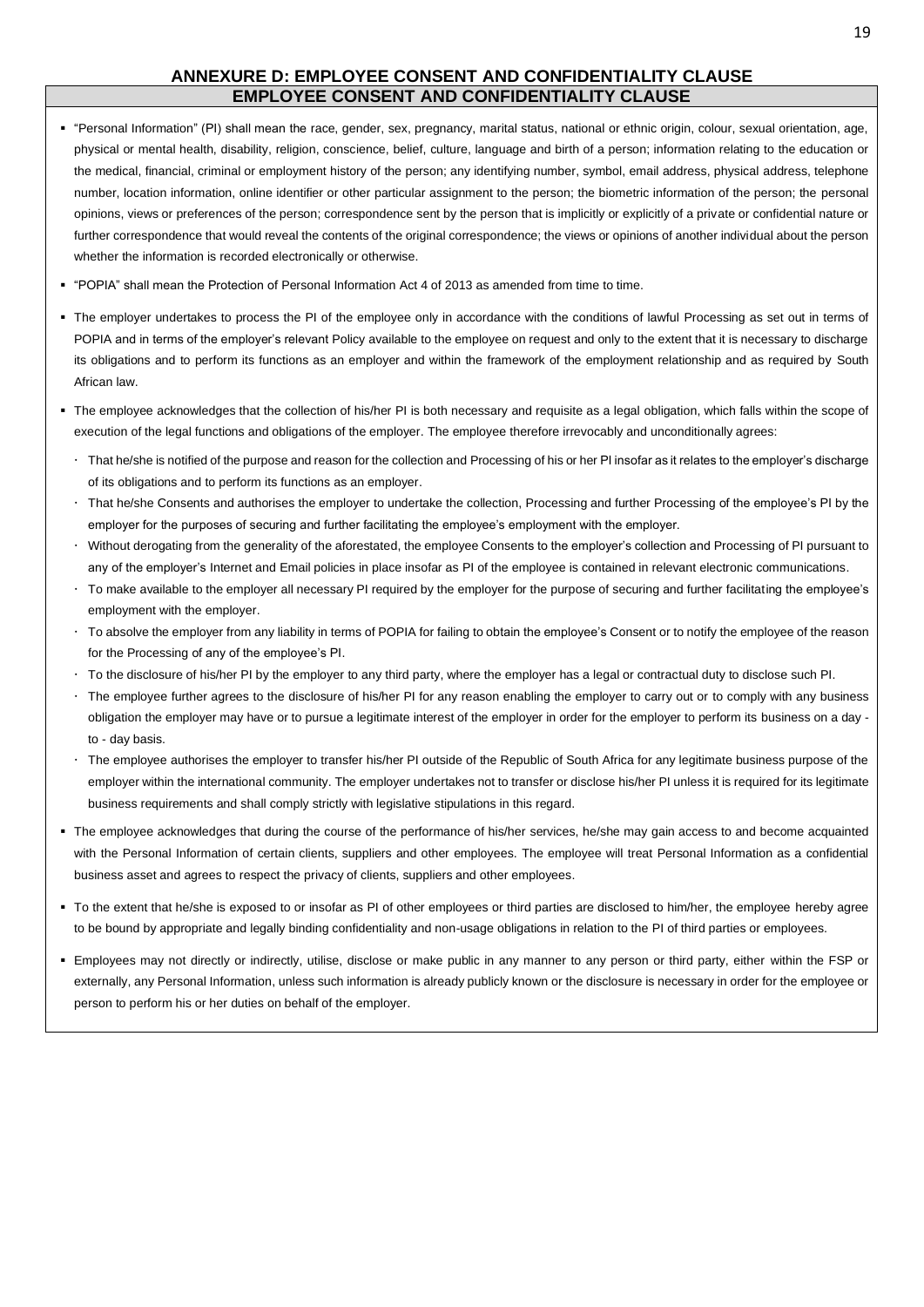## **ANNEXURE D: EMPLOYEE CONSENT AND CONFIDENTIALITY CLAUSE EMPLOYEE CONSENT AND CONFIDENTIALITY CLAUSE**

- <span id="page-19-0"></span>▪ "Personal Information" (PI) shall mean the race, gender, sex, pregnancy, marital status, national or ethnic origin, colour, sexual orientation, age, physical or mental health, disability, religion, conscience, belief, culture, language and birth of a person; information relating to the education or the medical, financial, criminal or employment history of the person; any identifying number, symbol, email address, physical address, telephone number, location information, online identifier or other particular assignment to the person; the biometric information of the person; the personal opinions, views or preferences of the person; correspondence sent by the person that is implicitly or explicitly of a private or confidential nature or further correspondence that would reveal the contents of the original correspondence; the views or opinions of another individual about the person whether the information is recorded electronically or otherwise.
- "POPIA" shall mean the Protection of Personal Information Act 4 of 2013 as amended from time to time.
- The employer undertakes to process the PI of the employee only in accordance with the conditions of lawful Processing as set out in terms of POPIA and in terms of the employer's relevant Policy available to the employee on request and only to the extent that it is necessary to discharge its obligations and to perform its functions as an employer and within the framework of the employment relationship and as required by South African law.
- The employee acknowledges that the collection of his/her PI is both necessary and requisite as a legal obligation, which falls within the scope of execution of the legal functions and obligations of the employer. The employee therefore irrevocably and unconditionally agrees:
	- That he/she is notified of the purpose and reason for the collection and Processing of his or her PI insofar as it relates to the employer's discharge of its obligations and to perform its functions as an employer.
	- That he/she Consents and authorises the employer to undertake the collection, Processing and further Processing of the employee's PI by the employer for the purposes of securing and further facilitating the employee's employment with the employer.
	- Without derogating from the generality of the aforestated, the employee Consents to the employer's collection and Processing of PI pursuant to any of the employer's Internet and Email policies in place insofar as PI of the employee is contained in relevant electronic communications.
	- To make available to the employer all necessary PI required by the employer for the purpose of securing and further facilitating the employee's employment with the employer.
	- To absolve the employer from any liability in terms of POPIA for failing to obtain the employee's Consent or to notify the employee of the reason for the Processing of any of the employee's PI.
	- To the disclosure of his/her PI by the employer to any third party, where the employer has a legal or contractual duty to disclose such PI.
	- The employee further agrees to the disclosure of his/her PI for any reason enabling the employer to carry out or to comply with any business obligation the employer may have or to pursue a legitimate interest of the employer in order for the employer to perform its business on a day to - day basis.
	- The employee authorises the employer to transfer his/her PI outside of the Republic of South Africa for any legitimate business purpose of the employer within the international community. The employer undertakes not to transfer or disclose his/her PI unless it is required for its legitimate business requirements and shall comply strictly with legislative stipulations in this regard.
- The employee acknowledges that during the course of the performance of his/her services, he/she may gain access to and become acquainted with the Personal Information of certain clients, suppliers and other employees. The employee will treat Personal Information as a confidential business asset and agrees to respect the privacy of clients, suppliers and other employees.
- To the extent that he/she is exposed to or insofar as PI of other employees or third parties are disclosed to him/her, the employee hereby agree to be bound by appropriate and legally binding confidentiality and non-usage obligations in relation to the PI of third parties or employees.
- Employees may not directly or indirectly, utilise, disclose or make public in any manner to any person or third party, either within the FSP or externally, any Personal Information, unless such information is already publicly known or the disclosure is necessary in order for the employee or person to perform his or her duties on behalf of the employer.